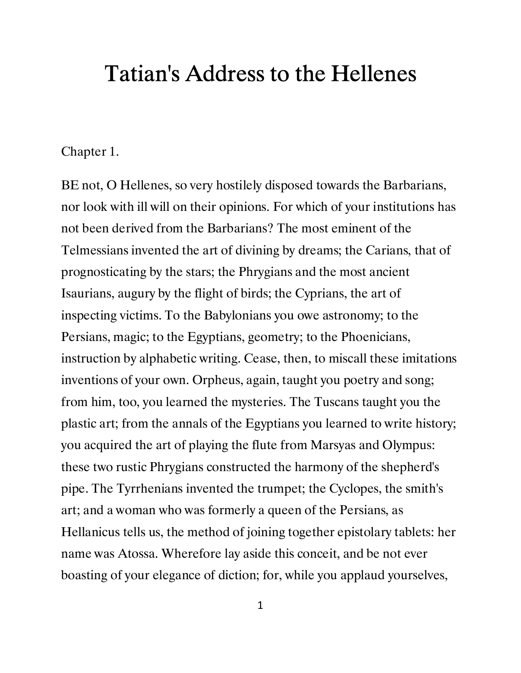# Tatian's Address to the Hellenes

## Chapter 1.

BE not, O Hellenes, so very hostilely disposed towards the Barbarians, nor look with ill will on their opinions. For which of your institutions has not been derived from the Barbarians? The most eminent of the Telmessians invented the art of divining by dreams; the Carians, that of prognosticating by the stars; the Phrygians and the most ancient Isaurians, augury by the flight of birds; the Cyprians, the art of inspecting victims. To the Babylonians you owe astronomy; to the Persians, magic; to the Egyptians, geometry; to the Phoenicians, instruction by alphabetic writing. Cease, then, to miscall these imitations inventions of your own. Orpheus, again, taught you poetry and song; from him, too, you learned the mysteries. The Tuscans taught you the plastic art; from the annals of the Egyptians you learned to write history; you acquired the art of playing the flute from Marsyas and Olympus: these two rustic Phrygians constructed the harmony of the shepherd's pipe. The Tyrrhenians invented the trumpet; the Cyclopes, the smith's art; and a woman who was formerly a queen of the Persians, as Hellanicus tells us, the method of joining together epistolary tablets: her name was Atossa. Wherefore lay aside this conceit, and be not ever boasting of your elegance of diction; for, while you applaud yourselves,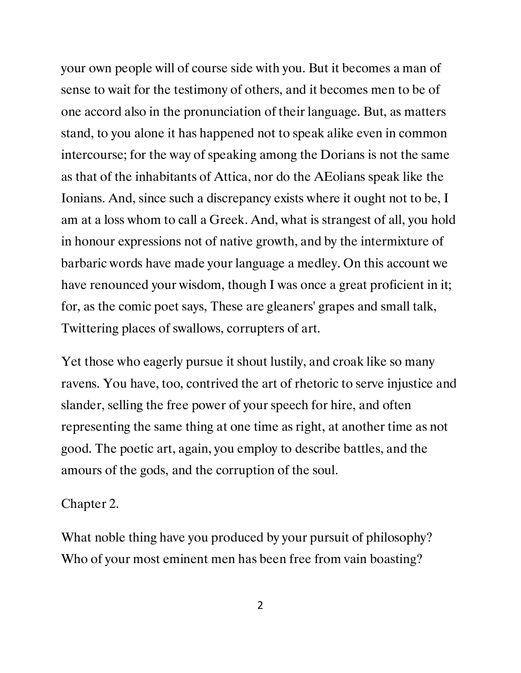your own people will of course side with you. But it becomes a man of sense to wait for the testimony of others, and it becomes men to be of one accord also in the pronunciation of their language. But, as matters stand, to you alone it has happened not to speak alike even in common intercourse; for the way of speaking among the Dorians is not the same as that of the inhabitants of Attica, nor do the AEolians speak like the Ionians. And, since such a discrepancy exists where it ought not to be, I am at a loss whom to call a Greek. And, what is strangest of all, you hold in honour expressions not of native growth, and by the intermixture of barbaric words have made your language a medley. On this account we have renounced your wisdom, though I was once a great proficient in it; for, as the comic poet says, These are gleaners' grapes and small talk, Twittering places of swallows, corrupters of art.

Yet those who eagerly pursue it shout lustily, and croak like so many ravens. You have, too, contrived the art of rhetoric to serve injustice and slander, selling the free power of your speech for hire, and often representing the same thing at one time as right, at another time as not good. The poetic art, again, you employ to describe battles, and the amours of the gods, and the corruption of the soul.

#### Chapter 2.

What noble thing have you produced by your pursuit of philosophy? Who of your most eminent men has been free from vain boasting?

2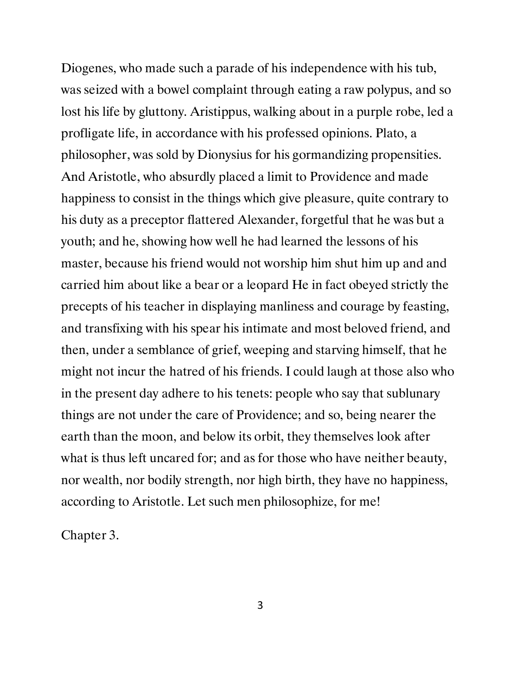Diogenes, who made such a parade of his independence with his tub, was seized with a bowel complaint through eating a raw polypus, and so lost his life by gluttony. Aristippus, walking about in a purple robe, led a profligate life, in accordance with his professed opinions. Plato, a philosopher, was sold by Dionysius for his gormandizing propensities. And Aristotle, who absurdly placed a limit to Providence and made happiness to consist in the things which give pleasure, quite contrary to his duty as a preceptor flattered Alexander, forgetful that he was but a youth; and he, showing how well he had learned the lessons of his master, because his friend would not worship him shut him up and and carried him about like a bear or a leopard He in fact obeyed strictly the precepts of his teacher in displaying manliness and courage by feasting, and transfixing with his spear his intimate and most beloved friend, and then, under a semblance of grief, weeping and starving himself, that he might not incur the hatred of his friends. I could laugh at those also who in the present day adhere to his tenets: people who say that sublunary things are not under the care of Providence; and so, being nearer the earth than the moon, and below its orbit, they themselves look after what is thus left uncared for; and as for those who have neither beauty, nor wealth, nor bodily strength, nor high birth, they have no happiness, according to Aristotle. Let such men philosophize, for me!

Chapter 3.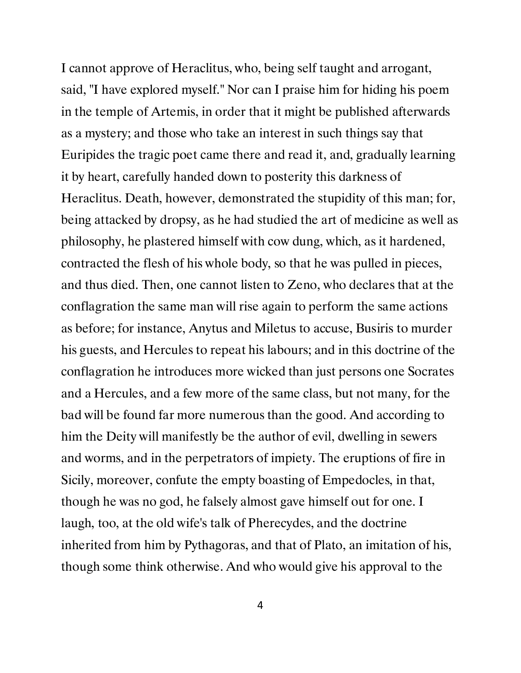I cannot approve of Heraclitus, who, being self taught and arrogant, said, "I have explored myself." Nor can I praise him for hiding his poem in the temple of Artemis, in order that it might be published afterwards as a mystery; and those who take an interest in such things say that Euripides the tragic poet came there and read it, and, gradually learning it by heart, carefully handed down to posterity this darkness of Heraclitus. Death, however, demonstrated the stupidity of this man; for, being attacked by dropsy, as he had studied the art of medicine as well as philosophy, he plastered himself with cow dung, which, as it hardened, contracted the flesh of his whole body, so that he was pulled in pieces, and thus died. Then, one cannot listen to Zeno, who declares that at the conflagration the same man will rise again to perform the same actions as before; for instance, Anytus and Miletus to accuse, Busiris to murder his guests, and Hercules to repeat his labours; and in this doctrine of the conflagration he introduces more wicked than just persons one Socrates and a Hercules, and a few more of the same class, but not many, for the bad will be found far more numerous than the good. And according to him the Deity will manifestly be the author of evil, dwelling in sewers and worms, and in the perpetrators of impiety. The eruptions of fire in Sicily, moreover, confute the empty boasting of Empedocles, in that, though he was no god, he falsely almost gave himself out for one. I laugh, too, at the old wife's talk of Pherecydes, and the doctrine inherited from him by Pythagoras, and that of Plato, an imitation of his, though some think otherwise. And who would give his approval to the

4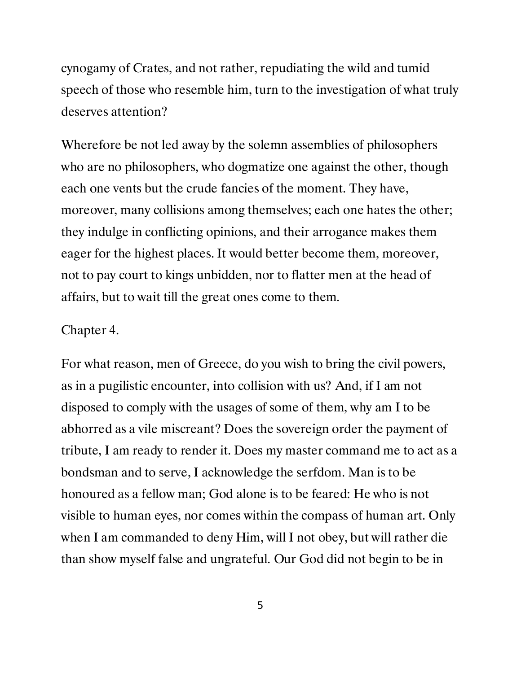cynogamy of Crates, and not rather, repudiating the wild and tumid speech of those who resemble him, turn to the investigation of what truly deserves attention?

Wherefore be not led away by the solemn assemblies of philosophers who are no philosophers, who dogmatize one against the other, though each one vents but the crude fancies of the moment. They have, moreover, many collisions among themselves; each one hates the other; they indulge in conflicting opinions, and their arrogance makes them eager for the highest places. It would better become them, moreover, not to pay court to kings unbidden, nor to flatter men at the head of affairs, but to wait till the great ones come to them.

#### Chapter 4.

For what reason, men of Greece, do you wish to bring the civil powers, as in a pugilistic encounter, into collision with us? And, if I am not disposed to comply with the usages of some of them, why am I to be abhorred as a vile miscreant? Does the sovereign order the payment of tribute, I am ready to render it. Does my master command me to act as a bondsman and to serve, I acknowledge the serfdom. Man is to be honoured as a fellow man; God alone is to be feared: He who is not visible to human eyes, nor comes within the compass of human art. Only when I am commanded to deny Him, will I not obey, but will rather die than show myself false and ungrateful. Our God did not begin to be in

5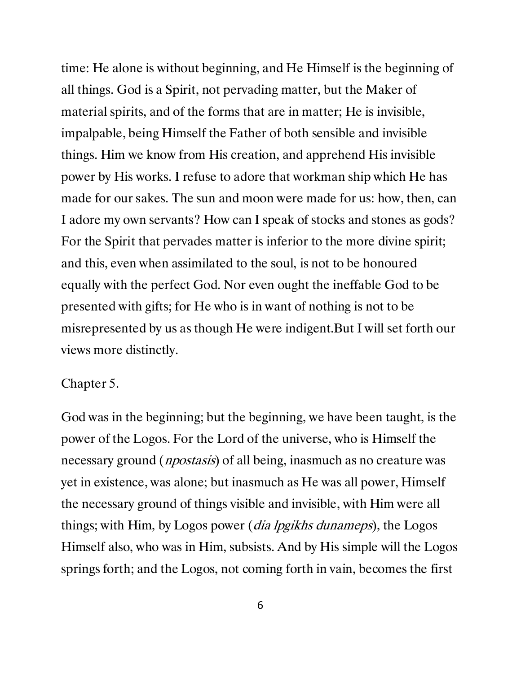time: He alone is without beginning, and He Himself is the beginning of all things. God is a Spirit, not pervading matter, but the Maker of material spirits, and of the forms that are in matter; He is invisible, impalpable, being Himself the Father of both sensible and invisible things. Him we know from His creation, and apprehend His invisible power by His works. I refuse to adore that workman ship which He has made for our sakes. The sun and moon were made for us: how, then, can I adore my own servants? How can I speak of stocks and stones as gods? For the Spirit that pervades matter is inferior to the more divine spirit; and this, even when assimilated to the soul, is not to be honoured equally with the perfect God. Nor even ought the ineffable God to be presented with gifts; for He who is in want of nothing is not to be misrepresented by us as though He were indigent.But I will set forth our views more distinctly.

#### Chapter 5.

God was in the beginning; but the beginning, we have been taught, is the power of the Logos. For the Lord of the universe, who is Himself the necessary ground (*npostasis*) of all being, inasmuch as no creature was yet in existence, was alone; but inasmuch as He was all power, Himself the necessary ground of things visible and invisible, with Him were all things; with Him, by Logos power (*dia lpgikhs dunameps*), the Logos Himself also, who was in Him, subsists. And by His simple will the Logos springs forth; and the Logos, not coming forth in vain, becomes the first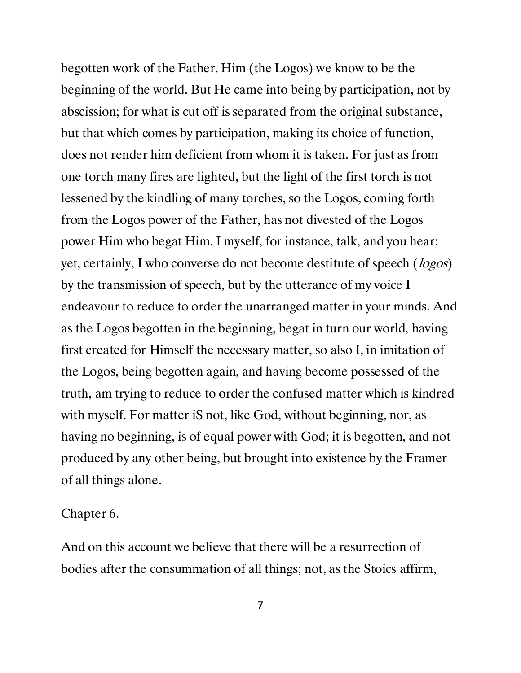begotten work of the Father. Him (the Logos) we know to be the beginning of the world. But He came into being by participation, not by abscission; for what is cut off is separated from the original substance, but that which comes by participation, making its choice of function, does not render him deficient from whom it is taken. For just as from one torch many fires are lighted, but the light of the first torch is not lessened by the kindling of many torches, so the Logos, coming forth from the Logos power of the Father, has not divested of the Logos power Him who begat Him. I myself, for instance, talk, and you hear; yet, certainly, I who converse do not become destitute of speech (logos) by the transmission of speech, but by the utterance of my voice I endeavour to reduce to order the unarranged matter in your minds. And as the Logos begotten in the beginning, begat in turn our world, having first created for Himself the necessary matter, so also I, in imitation of the Logos, being begotten again, and having become possessed of the truth, am trying to reduce to order the confused matter which is kindred with myself. For matter iS not, like God, without beginning, nor, as having no beginning, is of equal power with God; it is begotten, and not produced by any other being, but brought into existence by the Framer of all things alone.

## Chapter 6.

And on this account we believe that there will be a resurrection of bodies after the consummation of all things; not, as the Stoics affirm,

7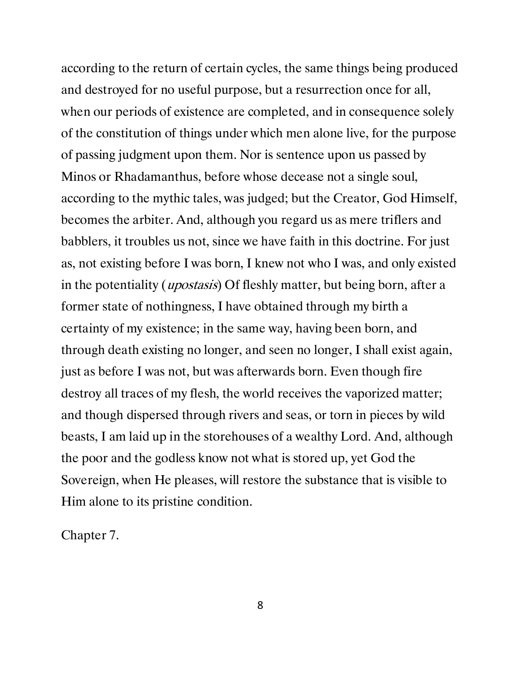according to the return of certain cycles, the same things being produced and destroyed for no useful purpose, but a resurrection once for all, when our periods of existence are completed, and in consequence solely of the constitution of things under which men alone live, for the purpose of passing judgment upon them. Nor is sentence upon us passed by Minos or Rhadamanthus, before whose decease not a single soul, according to the mythic tales, was judged; but the Creator, God Himself, becomes the arbiter. And, although you regard us as mere triflers and babblers, it troubles us not, since we have faith in this doctrine. For just as, not existing before I was born, I knew not who I was, and only existed in the potentiality (upostasis) Of fleshly matter, but being born, after a former state of nothingness, I have obtained through my birth a certainty of my existence; in the same way, having been born, and through death existing no longer, and seen no longer, I shall exist again, just as before I was not, but was afterwards born. Even though fire destroy all traces of my flesh, the world receives the vaporized matter; and though dispersed through rivers and seas, or torn in pieces by wild beasts, I am laid up in the storehouses of a wealthy Lord. And, although the poor and the godless know not what is stored up, yet God the Sovereign, when He pleases, will restore the substance that is visible to Him alone to its pristine condition.

Chapter 7.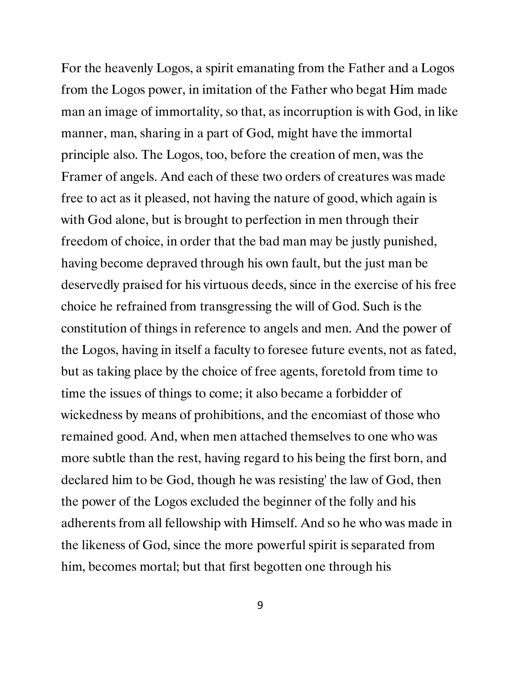For the heavenly Logos, a spirit emanating from the Father and a Logos from the Logos power, in imitation of the Father who begat Him made man an image of immortality, so that, as incorruption is with God, in like manner, man, sharing in a part of God, might have the immortal principle also. The Logos, too, before the creation of men, was the Framer of angels. And each of these two orders of creatures was made free to act as it pleased, not having the nature of good, which again is with God alone, but is brought to perfection in men through their freedom of choice, in order that the bad man may be justly punished, having become depraved through his own fault, but the just man be deservedly praised for his virtuous deeds, since in the exercise of his free choice he refrained from transgressing the will of God. Such is the constitution of things in reference to angels and men. And the power of the Logos, having in itself a faculty to foresee future events, not as fated, but as taking place by the choice of free agents, foretold from time to time the issues of things to come; it also became a forbidder of wickedness by means of prohibitions, and the encomiast of those who remained good. And, when men attached themselves to one who was more subtle than the rest, having regard to his being the first born, and declared him to be God, though he was resisting' the law of God, then the power of the Logos excluded the beginner of the folly and his adherents from all fellowship with Himself. And so he who was made in the likeness of God, since the more powerful spirit is separated from him, becomes mortal; but that first begotten one through his

9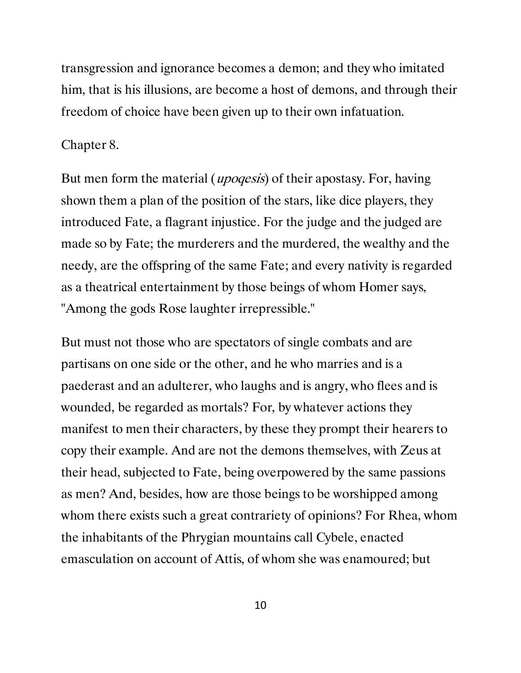transgression and ignorance becomes a demon; and they who imitated him, that is his illusions, are become a host of demons, and through their freedom of choice have been given up to their own infatuation.

#### Chapter 8.

But men form the material (*upoqesis*) of their apostasy. For, having shown them a plan of the position of the stars, like dice players, they introduced Fate, a flagrant injustice. For the judge and the judged are made so by Fate; the murderers and the murdered, the wealthy and the needy, are the offspring of the same Fate; and every nativity is regarded as a theatrical entertainment by those beings of whom Homer says, "Among the gods Rose laughter irrepressible."

But must not those who are spectators of single combats and are partisans on one side or the other, and he who marries and is a paederast and an adulterer, who laughs and is angry, who flees and is wounded, be regarded as mortals? For, by whatever actions they manifest to men their characters, by these they prompt their hearers to copy their example. And are not the demons themselves, with Zeus at their head, subjected to Fate, being overpowered by the same passions as men? And, besides, how are those beings to be worshipped among whom there exists such a great contrariety of opinions? For Rhea, whom the inhabitants of the Phrygian mountains call Cybele, enacted emasculation on account of Attis, of whom she was enamoured; but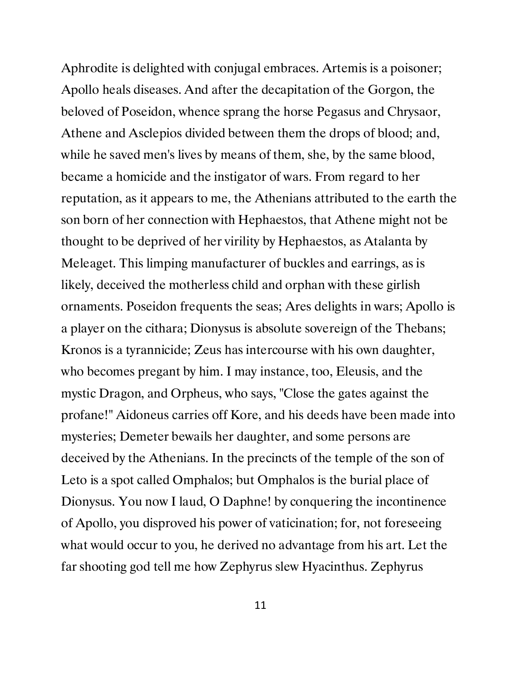Aphrodite is delighted with conjugal embraces. Artemis is a poisoner; Apollo heals diseases. And after the decapitation of the Gorgon, the beloved of Poseidon, whence sprang the horse Pegasus and Chrysaor, Athene and Asclepios divided between them the drops of blood; and, while he saved men's lives by means of them, she, by the same blood, became a homicide and the instigator of wars. From regard to her reputation, as it appears to me, the Athenians attributed to the earth the son born of her connection with Hephaestos, that Athene might not be thought to be deprived of her virility by Hephaestos, as Atalanta by Meleaget. This limping manufacturer of buckles and earrings, as is likely, deceived the motherless child and orphan with these girlish ornaments. Poseidon frequents the seas; Ares delights in wars; Apollo is a player on the cithara; Dionysus is absolute sovereign of the Thebans; Kronos is a tyrannicide; Zeus has intercourse with his own daughter, who becomes pregant by him. I may instance, too, Eleusis, and the mystic Dragon, and Orpheus, who says, "Close the gates against the profane!" Aidoneus carries off Kore, and his deeds have been made into mysteries; Demeter bewails her daughter, and some persons are deceived by the Athenians. In the precincts of the temple of the son of Leto is a spot called Omphalos; but Omphalos is the burial place of Dionysus. You now I laud, O Daphne! by conquering the incontinence of Apollo, you disproved his power of vaticination; for, not foreseeing what would occur to you, he derived no advantage from his art. Let the far shooting god tell me how Zephyrus slew Hyacinthus. Zephyrus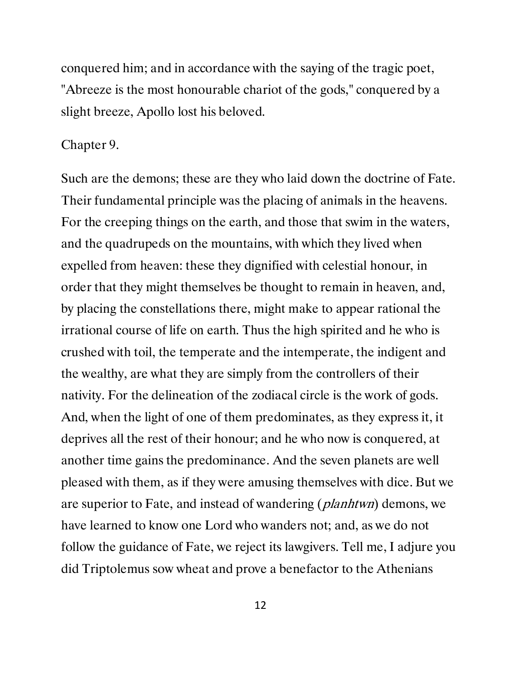conquered him; and in accordance with the saying of the tragic poet, "Abreeze is the most honourable chariot of the gods," conquered by a slight breeze, Apollo lost his beloved.

#### Chapter 9.

Such are the demons; these are they who laid down the doctrine of Fate. Their fundamental principle was the placing of animals in the heavens. For the creeping things on the earth, and those that swim in the waters, and the quadrupeds on the mountains, with which they lived when expelled from heaven: these they dignified with celestial honour, in order that they might themselves be thought to remain in heaven, and, by placing the constellations there, might make to appear rational the irrational course of life on earth. Thus the high spirited and he who is crushed with toil, the temperate and the intemperate, the indigent and the wealthy, are what they are simply from the controllers of their nativity. For the delineation of the zodiacal circle is the work of gods. And, when the light of one of them predominates, as they express it, it deprives all the rest of their honour; and he who now is conquered, at another time gains the predominance. And the seven planets are well pleased with them, as if they were amusing themselves with dice. But we are superior to Fate, and instead of wandering (*planhtwn*) demons, we have learned to know one Lord who wanders not; and, as we do not follow the guidance of Fate, we reject its lawgivers. Tell me, I adjure you did Triptolemus sow wheat and prove a benefactor to the Athenians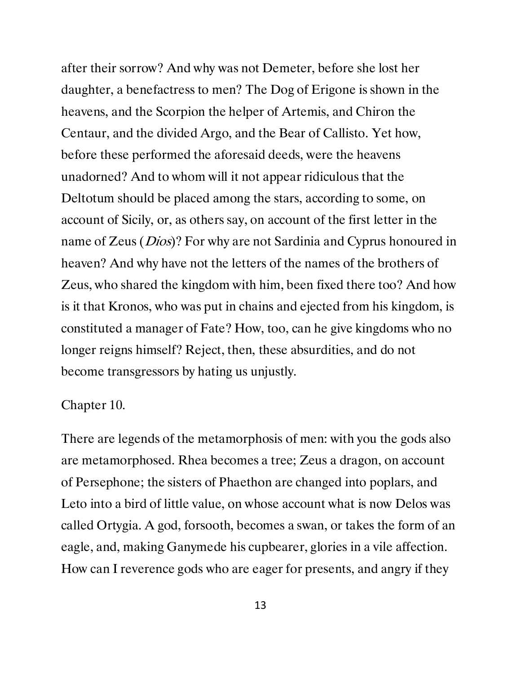after their sorrow? And why was not Demeter, before she lost her daughter, a benefactress to men? The Dog of Erigone is shown in the heavens, and the Scorpion the helper of Artemis, and Chiron the Centaur, and the divided Argo, and the Bear of Callisto. Yet how, before these performed the aforesaid deeds, were the heavens unadorned? And to whom will it not appear ridiculous that the Deltotum should be placed among the stars, according to some, on account of Sicily, or, as others say, on account of the first letter in the name of Zeus (*Dios*)? For why are not Sardinia and Cyprus honoured in heaven? And why have not the letters of the names of the brothers of Zeus, who shared the kingdom with him, been fixed there too? And how is it that Kronos, who was put in chains and ejected from his kingdom, is constituted a manager of Fate? How, too, can he give kingdoms who no longer reigns himself? Reject, then, these absurdities, and do not become transgressors by hating us unjustly.

## Chapter 10.

There are legends of the metamorphosis of men: with you the gods also are metamorphosed. Rhea becomes a tree; Zeus a dragon, on account of Persephone; the sisters of Phaethon are changed into poplars, and Leto into a bird of little value, on whose account what is now Delos was called Ortygia. A god, forsooth, becomes a swan, or takes the form of an eagle, and, making Ganymede his cupbearer, glories in a vile affection. How can I reverence gods who are eager for presents, and angry if they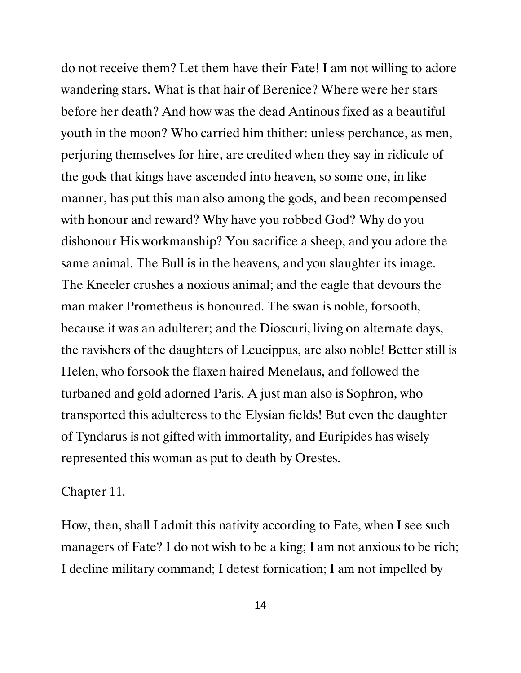do not receive them? Let them have their Fate! I am not willing to adore wandering stars. What is that hair of Berenice? Where were her stars before her death? And how was the dead Antinous fixed as a beautiful youth in the moon? Who carried him thither: unless perchance, as men, perjuring themselves for hire, are credited when they say in ridicule of the gods that kings have ascended into heaven, so some one, in like manner, has put this man also among the gods, and been recompensed with honour and reward? Why have you robbed God? Why do you dishonour His workmanship? You sacrifice a sheep, and you adore the same animal. The Bull is in the heavens, and you slaughter its image. The Kneeler crushes a noxious animal; and the eagle that devours the man maker Prometheus is honoured. The swan is noble, forsooth, because it was an adulterer; and the Dioscuri, living on alternate days, the ravishers of the daughters of Leucippus, are also noble! Better still is Helen, who forsook the flaxen haired Menelaus, and followed the turbaned and gold adorned Paris. A just man also is Sophron, who transported this adulteress to the Elysian fields! But even the daughter of Tyndarus is not gifted with immortality, and Euripides has wisely represented this woman as put to death by Orestes.

## Chapter 11.

How, then, shall I admit this nativity according to Fate, when I see such managers of Fate? I do not wish to be a king; I am not anxious to be rich; I decline military command; I detest fornication; I am not impelled by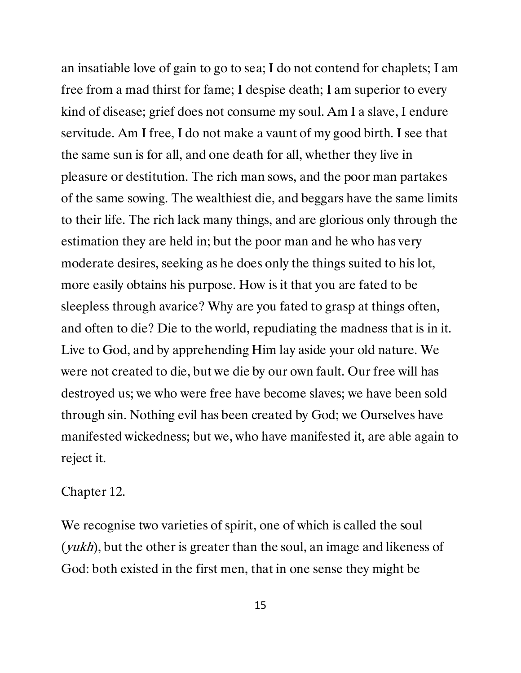an insatiable love of gain to go to sea; I do not contend for chaplets; I am free from a mad thirst for fame; I despise death; I am superior to every kind of disease; grief does not consume my soul. Am I a slave, I endure servitude. Am I free, I do not make a vaunt of my good birth. I see that the same sun is for all, and one death for all, whether they live in pleasure or destitution. The rich man sows, and the poor man partakes of the same sowing. The wealthiest die, and beggars have the same limits to their life. The rich lack many things, and are glorious only through the estimation they are held in; but the poor man and he who has very moderate desires, seeking as he does only the things suited to his lot, more easily obtains his purpose. How is it that you are fated to be sleepless through avarice? Why are you fated to grasp at things often, and often to die? Die to the world, repudiating the madness that is in it. Live to God, and by apprehending Him lay aside your old nature. We were not created to die, but we die by our own fault. Our free will has destroyed us; we who were free have become slaves; we have been sold through sin. Nothing evil has been created by God; we Ourselves have manifested wickedness; but we, who have manifested it, are able again to reject it.

## Chapter 12.

We recognise two varieties of spirit, one of which is called the soul (yukh), but the other is greater than the soul, an image and likeness of God: both existed in the first men, that in one sense they might be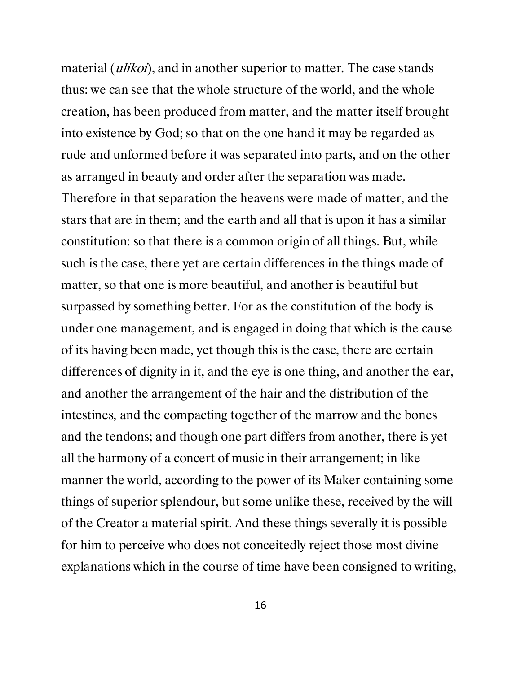material (*ulikoi*), and in another superior to matter. The case stands thus: we can see that the whole structure of the world, and the whole creation, has been produced from matter, and the matter itself brought into existence by God; so that on the one hand it may be regarded as rude and unformed before it was separated into parts, and on the other as arranged in beauty and order after the separation was made. Therefore in that separation the heavens were made of matter, and the stars that are in them; and the earth and all that is upon it has a similar constitution: so that there is a common origin of all things. But, while such is the case, there yet are certain differences in the things made of matter, so that one is more beautiful, and another is beautiful but surpassed by something better. For as the constitution of the body is under one management, and is engaged in doing that which is the cause of its having been made, yet though this is the case, there are certain differences of dignity in it, and the eye is one thing, and another the ear, and another the arrangement of the hair and the distribution of the intestines, and the compacting together of the marrow and the bones and the tendons; and though one part differs from another, there is yet all the harmony of a concert of music in their arrangement; in like manner the world, according to the power of its Maker containing some things of superior splendour, but some unlike these, received by the will of the Creator a material spirit. And these things severally it is possible for him to perceive who does not conceitedly reject those most divine explanations which in the course of time have been consigned to writing,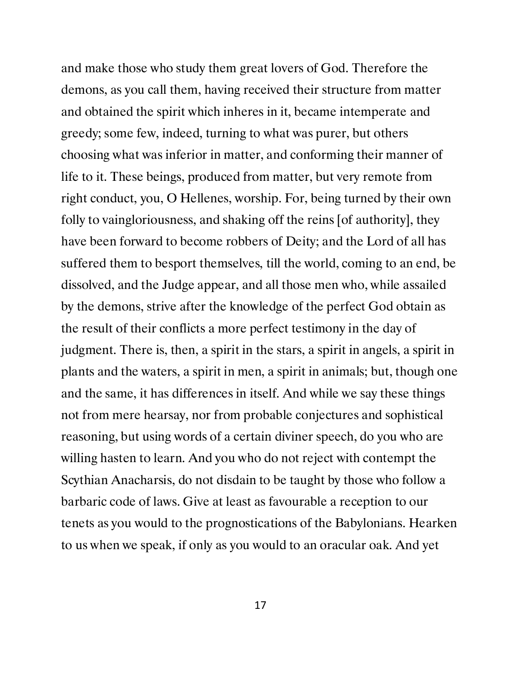and make those who study them great lovers of God. Therefore the demons, as you call them, having received their structure from matter and obtained the spirit which inheres in it, became intemperate and greedy; some few, indeed, turning to what was purer, but others choosing what was inferior in matter, and conforming their manner of life to it. These beings, produced from matter, but very remote from right conduct, you, O Hellenes, worship. For, being turned by their own folly to vaingloriousness, and shaking off the reins [of authority], they have been forward to become robbers of Deity; and the Lord of all has suffered them to besport themselves, till the world, coming to an end, be dissolved, and the Judge appear, and all those men who, while assailed by the demons, strive after the knowledge of the perfect God obtain as the result of their conflicts a more perfect testimony in the day of judgment. There is, then, a spirit in the stars, a spirit in angels, a spirit in plants and the waters, a spirit in men, a spirit in animals; but, though one and the same, it has differences in itself. And while we say these things not from mere hearsay, nor from probable conjectures and sophistical reasoning, but using words of a certain diviner speech, do you who are willing hasten to learn. And you who do not reject with contempt the Scythian Anacharsis, do not disdain to be taught by those who follow a barbaric code of laws. Give at least as favourable a reception to our tenets as you would to the prognostications of the Babylonians. Hearken to us when we speak, if only as you would to an oracular oak. And yet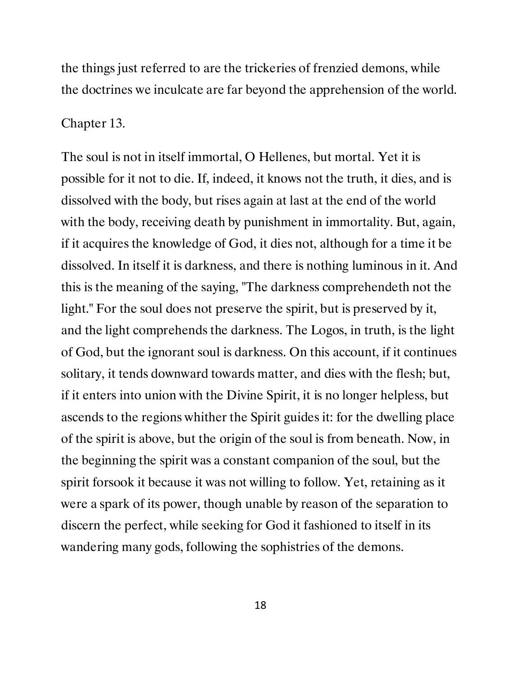the things just referred to are the trickeries of frenzied demons, while the doctrines we inculcate are far beyond the apprehension of the world.

Chapter 13.

The soul is not in itself immortal, O Hellenes, but mortal. Yet it is possible for it not to die. If, indeed, it knows not the truth, it dies, and is dissolved with the body, but rises again at last at the end of the world with the body, receiving death by punishment in immortality. But, again, if it acquires the knowledge of God, it dies not, although for a time it be dissolved. In itself it is darkness, and there is nothing luminous in it. And this is the meaning of the saying, "The darkness comprehendeth not the light." For the soul does not preserve the spirit, but is preserved by it, and the light comprehends the darkness. The Logos, in truth, is the light of God, but the ignorant soul is darkness. On this account, if it continues solitary, it tends downward towards matter, and dies with the flesh; but, if it enters into union with the Divine Spirit, it is no longer helpless, but ascends to the regions whither the Spirit guides it: for the dwelling place of the spirit is above, but the origin of the soul is from beneath. Now, in the beginning the spirit was a constant companion of the soul, but the spirit forsook it because it was not willing to follow. Yet, retaining as it were a spark of its power, though unable by reason of the separation to discern the perfect, while seeking for God it fashioned to itself in its wandering many gods, following the sophistries of the demons.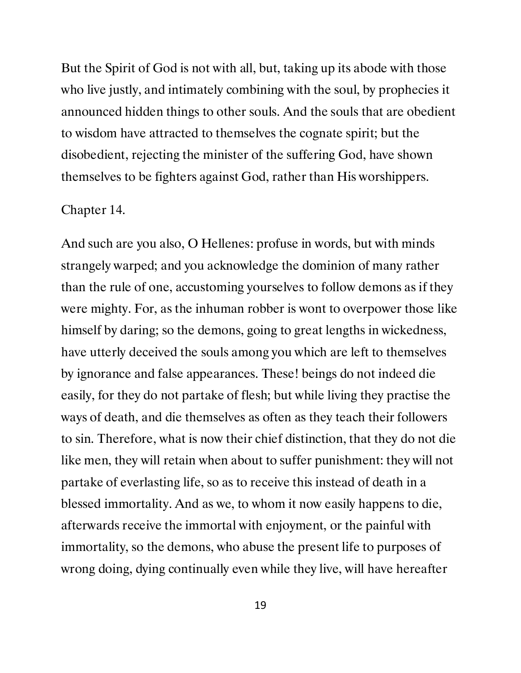But the Spirit of God is not with all, but, taking up its abode with those who live justly, and intimately combining with the soul, by prophecies it announced hidden things to other souls. And the souls that are obedient to wisdom have attracted to themselves the cognate spirit; but the disobedient, rejecting the minister of the suffering God, have shown themselves to be fighters against God, rather than His worshippers.

#### Chapter 14.

And such are you also, O Hellenes: profuse in words, but with minds strangely warped; and you acknowledge the dominion of many rather than the rule of one, accustoming yourselves to follow demons as if they were mighty. For, as the inhuman robber is wont to overpower those like himself by daring; so the demons, going to great lengths in wickedness, have utterly deceived the souls among you which are left to themselves by ignorance and false appearances. These! beings do not indeed die easily, for they do not partake of flesh; but while living they practise the ways of death, and die themselves as often as they teach their followers to sin. Therefore, what is now their chief distinction, that they do not die like men, they will retain when about to suffer punishment: they will not partake of everlasting life, so as to receive this instead of death in a blessed immortality. And as we, to whom it now easily happens to die, afterwards receive the immortal with enjoyment, or the painful with immortality, so the demons, who abuse the present life to purposes of wrong doing, dying continually even while they live, will have hereafter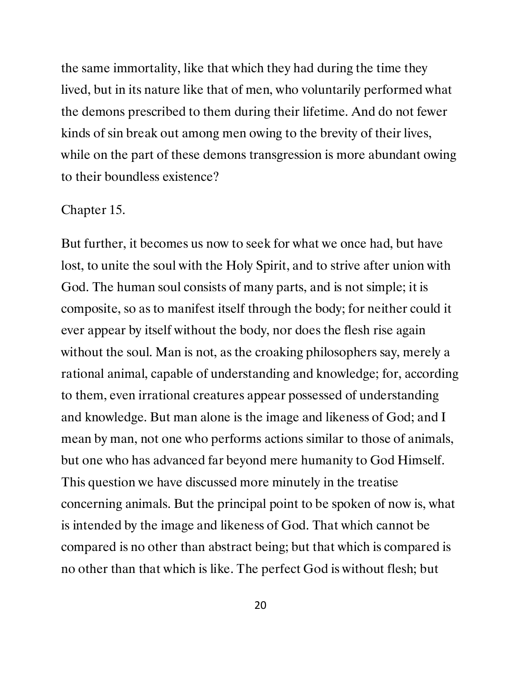the same immortality, like that which they had during the time they lived, but in its nature like that of men, who voluntarily performed what the demons prescribed to them during their lifetime. And do not fewer kinds of sin break out among men owing to the brevity of their lives, while on the part of these demons transgression is more abundant owing to their boundless existence?

#### Chapter 15.

But further, it becomes us now to seek for what we once had, but have lost, to unite the soul with the Holy Spirit, and to strive after union with God. The human soul consists of many parts, and is not simple; it is composite, so as to manifest itself through the body; for neither could it ever appear by itself without the body, nor does the flesh rise again without the soul. Man is not, as the croaking philosophers say, merely a rational animal, capable of understanding and knowledge; for, according to them, even irrational creatures appear possessed of understanding and knowledge. But man alone is the image and likeness of God; and I mean by man, not one who performs actions similar to those of animals, but one who has advanced far beyond mere humanity to God Himself. This question we have discussed more minutely in the treatise concerning animals. But the principal point to be spoken of now is, what is intended by the image and likeness of God. That which cannot be compared is no other than abstract being; but that which is compared is no other than that which is like. The perfect God is without flesh; but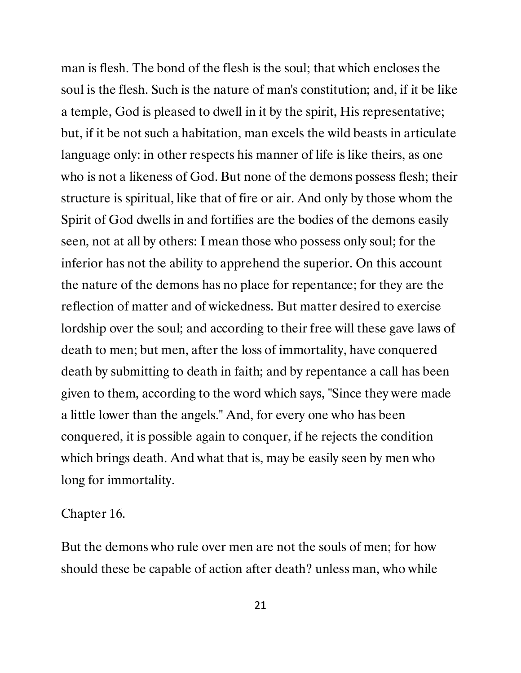man is flesh. The bond of the flesh is the soul; that which encloses the soul is the flesh. Such is the nature of man's constitution; and, if it be like a temple, God is pleased to dwell in it by the spirit, His representative; but, if it be not such a habitation, man excels the wild beasts in articulate language only: in other respects his manner of life is like theirs, as one who is not a likeness of God. But none of the demons possess flesh; their structure is spiritual, like that of fire or air. And only by those whom the Spirit of God dwells in and fortifies are the bodies of the demons easily seen, not at all by others: I mean those who possess only soul; for the inferior has not the ability to apprehend the superior. On this account the nature of the demons has no place for repentance; for they are the reflection of matter and of wickedness. But matter desired to exercise lordship over the soul; and according to their free will these gave laws of death to men; but men, after the loss of immortality, have conquered death by submitting to death in faith; and by repentance a call has been given to them, according to the word which says, "Since they were made a little lower than the angels." And, for every one who has been conquered, it is possible again to conquer, if he rejects the condition which brings death. And what that is, may be easily seen by men who long for immortality.

## Chapter 16.

But the demons who rule over men are not the souls of men; for how should these be capable of action after death? unless man, who while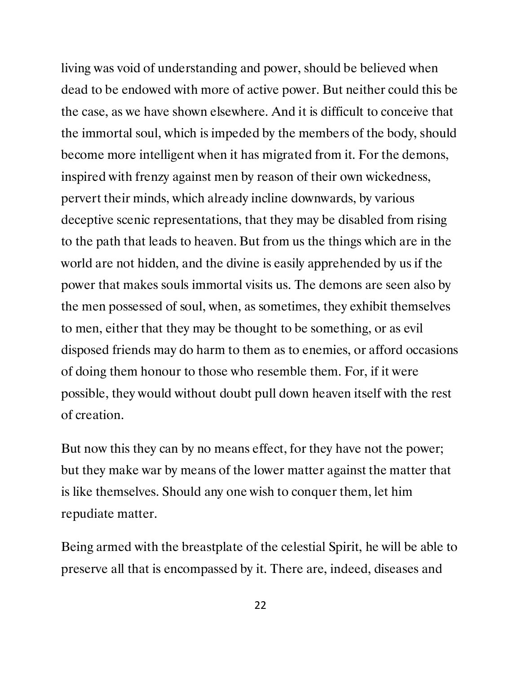living was void of understanding and power, should be believed when dead to be endowed with more of active power. But neither could this be the case, as we have shown elsewhere. And it is difficult to conceive that the immortal soul, which is impeded by the members of the body, should become more intelligent when it has migrated from it. For the demons, inspired with frenzy against men by reason of their own wickedness, pervert their minds, which already incline downwards, by various deceptive scenic representations, that they may be disabled from rising to the path that leads to heaven. But from us the things which are in the world are not hidden, and the divine is easily apprehended by us if the power that makes souls immortal visits us. The demons are seen also by the men possessed of soul, when, as sometimes, they exhibit themselves to men, either that they may be thought to be something, or as evil disposed friends may do harm to them as to enemies, or afford occasions of doing them honour to those who resemble them. For, if it were possible, they would without doubt pull down heaven itself with the rest of creation.

But now this they can by no means effect, for they have not the power; but they make war by means of the lower matter against the matter that is like themselves. Should any one wish to conquer them, let him repudiate matter.

Being armed with the breastplate of the celestial Spirit, he will be able to preserve all that is encompassed by it. There are, indeed, diseases and

22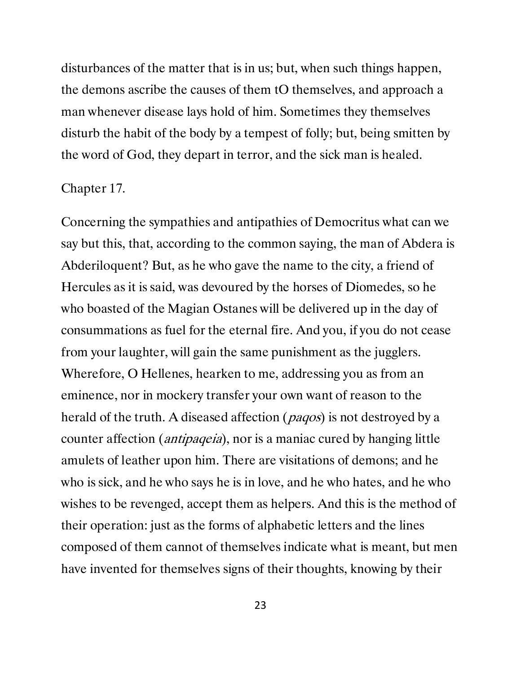disturbances of the matter that is in us; but, when such things happen, the demons ascribe the causes of them tO themselves, and approach a man whenever disease lays hold of him. Sometimes they themselves disturb the habit of the body by a tempest of folly; but, being smitten by the word of God, they depart in terror, and the sick man is healed.

## Chapter 17.

Concerning the sympathies and antipathies of Democritus what can we say but this, that, according to the common saying, the man of Abdera is Abderiloquent? But, as he who gave the name to the city, a friend of Hercules as it is said, was devoured by the horses of Diomedes, so he who boasted of the Magian Ostanes will be delivered up in the day of consummations as fuel for the eternal fire. And you, if you do not cease from your laughter, will gain the same punishment as the jugglers. Wherefore, O Hellenes, hearken to me, addressing you as from an eminence, nor in mockery transfer your own want of reason to the herald of the truth. A diseased affection (*paqos*) is not destroyed by a counter affection *(antipageia)*, nor is a maniac cured by hanging little amulets of leather upon him. There are visitations of demons; and he who is sick, and he who says he is in love, and he who hates, and he who wishes to be revenged, accept them as helpers. And this is the method of their operation: just as the forms of alphabetic letters and the lines composed of them cannot of themselves indicate what is meant, but men have invented for themselves signs of their thoughts, knowing by their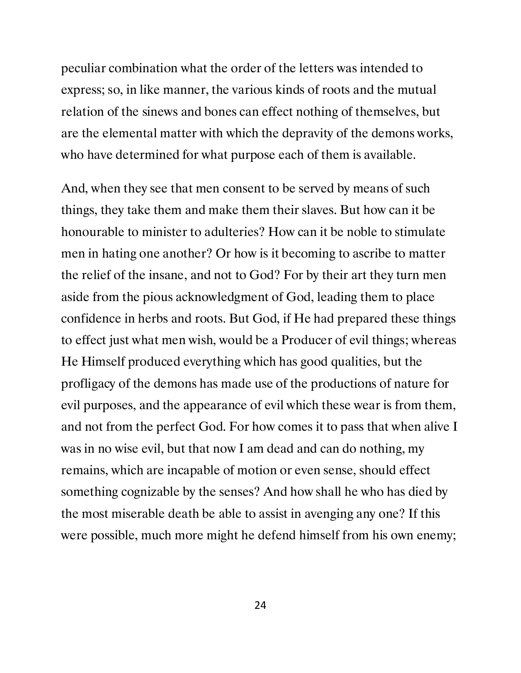peculiar combination what the order of the letters was intended to express; so, in like manner, the various kinds of roots and the mutual relation of the sinews and bones can effect nothing of themselves, but are the elemental matter with which the depravity of the demons works, who have determined for what purpose each of them is available.

And, when they see that men consent to be served by means of such things, they take them and make them their slaves. But how can it be honourable to minister to adulteries? How can it be noble to stimulate men in hating one another? Or how is it becoming to ascribe to matter the relief of the insane, and not to God? For by their art they turn men aside from the pious acknowledgment of God, leading them to place confidence in herbs and roots. But God, if He had prepared these things to effect just what men wish, would be a Producer of evil things; whereas He Himself produced everything which has good qualities, but the profligacy of the demons has made use of the productions of nature for evil purposes, and the appearance of evil which these wear is from them, and not from the perfect God. For how comes it to pass that when alive I was in no wise evil, but that now I am dead and can do nothing, my remains, which are incapable of motion or even sense, should effect something cognizable by the senses? And how shall he who has died by the most miserable death be able to assist in avenging any one? If this were possible, much more might he defend himself from his own enemy;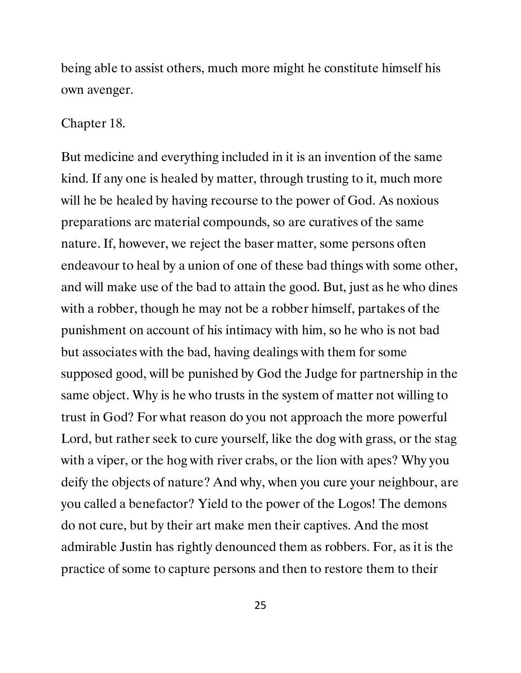being able to assist others, much more might he constitute himself his own avenger.

#### Chapter 18.

But medicine and everything included in it is an invention of the same kind. If any one is healed by matter, through trusting to it, much more will he be healed by having recourse to the power of God. As noxious preparations arc material compounds, so are curatives of the same nature. If, however, we reject the baser matter, some persons often endeavour to heal by a union of one of these bad things with some other, and will make use of the bad to attain the good. But, just as he who dines with a robber, though he may not be a robber himself, partakes of the punishment on account of his intimacy with him, so he who is not bad but associates with the bad, having dealings with them for some supposed good, will be punished by God the Judge for partnership in the same object. Why is he who trusts in the system of matter not willing to trust in God? For what reason do you not approach the more powerful Lord, but rather seek to cure yourself, like the dog with grass, or the stag with a viper, or the hog with river crabs, or the lion with apes? Why you deify the objects of nature? And why, when you cure your neighbour, are you called a benefactor? Yield to the power of the Logos! The demons do not cure, but by their art make men their captives. And the most admirable Justin has rightly denounced them as robbers. For, as it is the practice of some to capture persons and then to restore them to their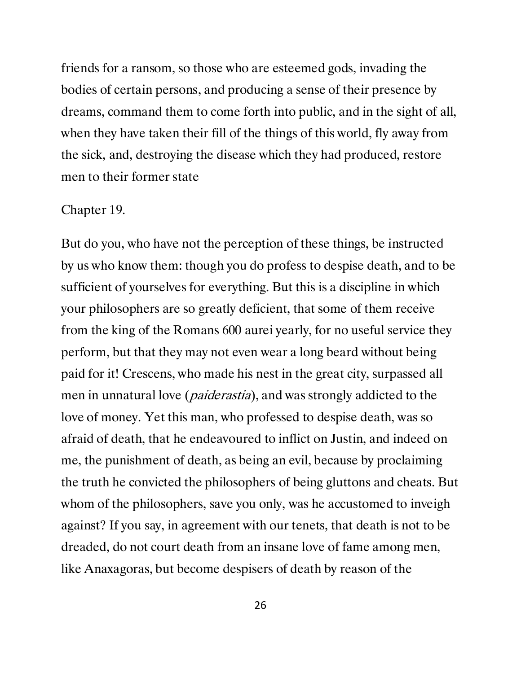friends for a ransom, so those who are esteemed gods, invading the bodies of certain persons, and producing a sense of their presence by dreams, command them to come forth into public, and in the sight of all, when they have taken their fill of the things of this world, fly away from the sick, and, destroying the disease which they had produced, restore men to their former state

#### Chapter 19.

But do you, who have not the perception of these things, be instructed by us who know them: though you do profess to despise death, and to be sufficient of yourselves for everything. But this is a discipline in which your philosophers are so greatly deficient, that some of them receive from the king of the Romans 600 aurei yearly, for no useful service they perform, but that they may not even wear a long beard without being paid for it! Crescens, who made his nest in the great city, surpassed all men in unnatural love (*paiderastia*), and was strongly addicted to the love of money. Yet this man, who professed to despise death, was so afraid of death, that he endeavoured to inflict on Justin, and indeed on me, the punishment of death, as being an evil, because by proclaiming the truth he convicted the philosophers of being gluttons and cheats. But whom of the philosophers, save you only, was he accustomed to inveigh against? If you say, in agreement with our tenets, that death is not to be dreaded, do not court death from an insane love of fame among men, like Anaxagoras, but become despisers of death by reason of the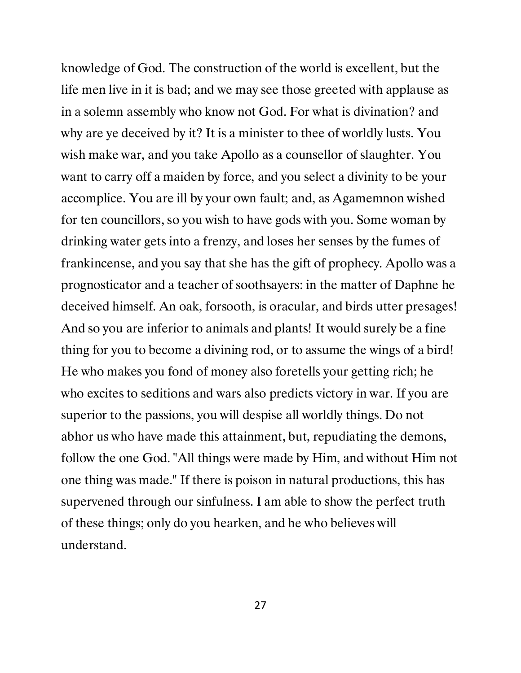knowledge of God. The construction of the world is excellent, but the life men live in it is bad; and we may see those greeted with applause as in a solemn assembly who know not God. For what is divination? and why are ye deceived by it? It is a minister to thee of worldly lusts. You wish make war, and you take Apollo as a counsellor of slaughter. You want to carry off a maiden by force, and you select a divinity to be your accomplice. You are ill by your own fault; and, as Agamemnon wished for ten councillors, so you wish to have gods with you. Some woman by drinking water gets into a frenzy, and loses her senses by the fumes of frankincense, and you say that she has the gift of prophecy. Apollo was a prognosticator and a teacher of soothsayers: in the matter of Daphne he deceived himself. An oak, forsooth, is oracular, and birds utter presages! And so you are inferior to animals and plants! It would surely be a fine thing for you to become a divining rod, or to assume the wings of a bird! He who makes you fond of money also foretells your getting rich; he who excites to seditions and wars also predicts victory in war. If you are superior to the passions, you will despise all worldly things. Do not abhor us who have made this attainment, but, repudiating the demons, follow the one God. "All things were made by Him, and without Him not one thing was made." If there is poison in natural productions, this has supervened through our sinfulness. I am able to show the perfect truth of these things; only do you hearken, and he who believes will understand.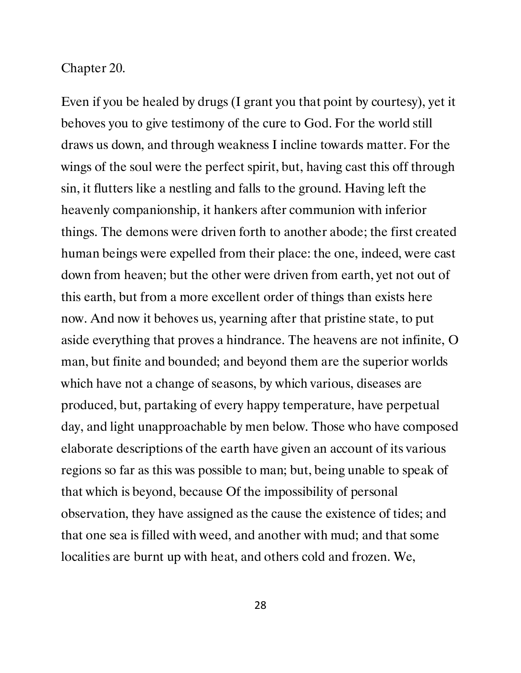Chapter 20.

Even if you be healed by drugs (I grant you that point by courtesy), yet it behoves you to give testimony of the cure to God. For the world still draws us down, and through weakness I incline towards matter. For the wings of the soul were the perfect spirit, but, having cast this off through sin, it flutters like a nestling and falls to the ground. Having left the heavenly companionship, it hankers after communion with inferior things. The demons were driven forth to another abode; the first created human beings were expelled from their place: the one, indeed, were cast down from heaven; but the other were driven from earth, yet not out of this earth, but from a more excellent order of things than exists here now. And now it behoves us, yearning after that pristine state, to put aside everything that proves a hindrance. The heavens are not infinite, O man, but finite and bounded; and beyond them are the superior worlds which have not a change of seasons, by which various, diseases are produced, but, partaking of every happy temperature, have perpetual day, and light unapproachable by men below. Those who have composed elaborate descriptions of the earth have given an account of its various regions so far as this was possible to man; but, being unable to speak of that which is beyond, because Of the impossibility of personal observation, they have assigned as the cause the existence of tides; and that one sea is filled with weed, and another with mud; and that some localities are burnt up with heat, and others cold and frozen. We,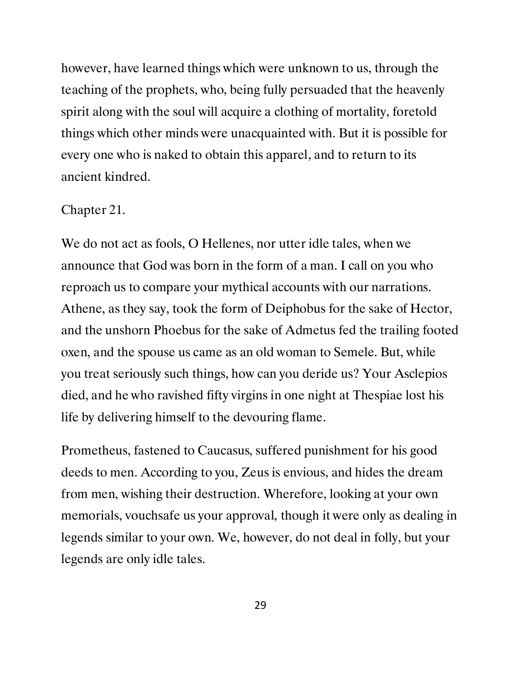however, have learned things which were unknown to us, through the teaching of the prophets, who, being fully persuaded that the heavenly spirit along with the soul will acquire a clothing of mortality, foretold things which other minds were unacquainted with. But it is possible for every one who is naked to obtain this apparel, and to return to its ancient kindred.

#### Chapter 21.

We do not act as fools, O Hellenes, nor utter idle tales, when we announce that God was born in the form of a man. I call on you who reproach us to compare your mythical accounts with our narrations. Athene, as they say, took the form of Deiphobus for the sake of Hector, and the unshorn Phoebus for the sake of Admetus fed the trailing footed oxen, and the spouse us came as an old woman to Semele. But, while you treat seriously such things, how can you deride us? Your Asclepios died, and he who ravished fifty virgins in one night at Thespiae lost his life by delivering himself to the devouring flame.

Prometheus, fastened to Caucasus, suffered punishment for his good deeds to men. According to you, Zeus is envious, and hides the dream from men, wishing their destruction. Wherefore, looking at your own memorials, vouchsafe us your approval, though it were only as dealing in legends similar to your own. We, however, do not deal in folly, but your legends are only idle tales.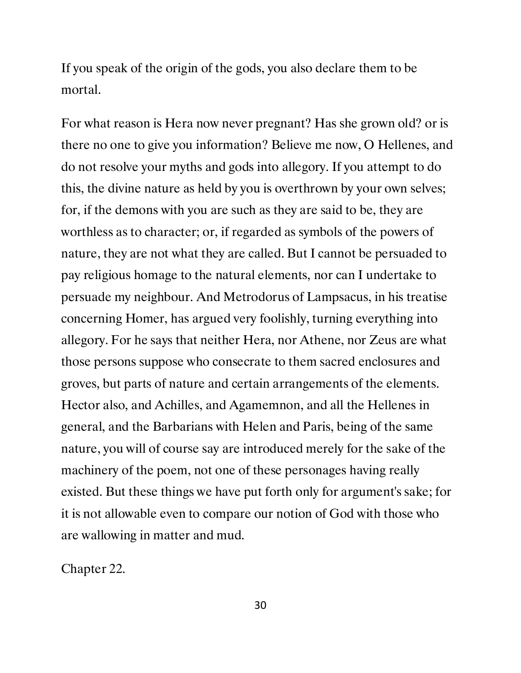If you speak of the origin of the gods, you also declare them to be mortal.

For what reason is Hera now never pregnant? Has she grown old? or is there no one to give you information? Believe me now, O Hellenes, and do not resolve your myths and gods into allegory. If you attempt to do this, the divine nature as held by you is overthrown by your own selves; for, if the demons with you are such as they are said to be, they are worthless as to character; or, if regarded as symbols of the powers of nature, they are not what they are called. But I cannot be persuaded to pay religious homage to the natural elements, nor can I undertake to persuade my neighbour. And Metrodorus of Lampsacus, in his treatise concerning Homer, has argued very foolishly, turning everything into allegory. For he says that neither Hera, nor Athene, nor Zeus are what those persons suppose who consecrate to them sacred enclosures and groves, but parts of nature and certain arrangements of the elements. Hector also, and Achilles, and Agamemnon, and all the Hellenes in general, and the Barbarians with Helen and Paris, being of the same nature, you will of course say are introduced merely for the sake of the machinery of the poem, not one of these personages having really existed. But these things we have put forth only for argument's sake; for it is not allowable even to compare our notion of God with those who are wallowing in matter and mud.

Chapter 22.

30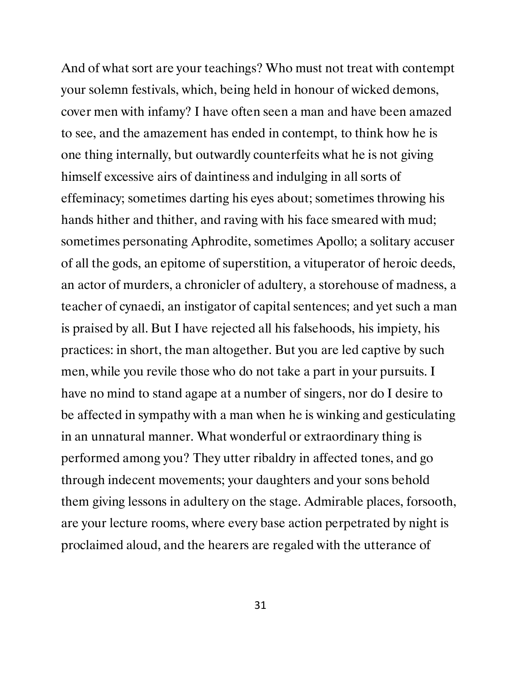And of what sort are your teachings? Who must not treat with contempt your solemn festivals, which, being held in honour of wicked demons, cover men with infamy? I have often seen a man and have been amazed to see, and the amazement has ended in contempt, to think how he is one thing internally, but outwardly counterfeits what he is not giving himself excessive airs of daintiness and indulging in all sorts of effeminacy; sometimes darting his eyes about; sometimes throwing his hands hither and thither, and raving with his face smeared with mud; sometimes personating Aphrodite, sometimes Apollo; a solitary accuser of all the gods, an epitome of superstition, a vituperator of heroic deeds, an actor of murders, a chronicler of adultery, a storehouse of madness, a teacher of cynaedi, an instigator of capital sentences; and yet such a man is praised by all. But I have rejected all his falsehoods, his impiety, his practices: in short, the man altogether. But you are led captive by such men, while you revile those who do not take a part in your pursuits. I have no mind to stand agape at a number of singers, nor do I desire to be affected in sympathy with a man when he is winking and gesticulating in an unnatural manner. What wonderful or extraordinary thing is performed among you? They utter ribaldry in affected tones, and go through indecent movements; your daughters and your sons behold them giving lessons in adultery on the stage. Admirable places, forsooth, are your lecture rooms, where every base action perpetrated by night is proclaimed aloud, and the hearers are regaled with the utterance of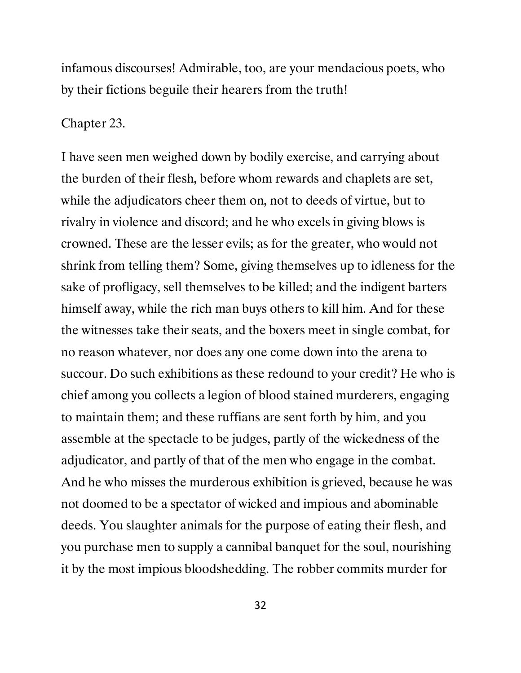infamous discourses! Admirable, too, are your mendacious poets, who by their fictions beguile their hearers from the truth!

#### Chapter 23.

I have seen men weighed down by bodily exercise, and carrying about the burden of their flesh, before whom rewards and chaplets are set, while the adjudicators cheer them on, not to deeds of virtue, but to rivalry in violence and discord; and he who excels in giving blows is crowned. These are the lesser evils; as for the greater, who would not shrink from telling them? Some, giving themselves up to idleness for the sake of profligacy, sell themselves to be killed; and the indigent barters himself away, while the rich man buys others to kill him. And for these the witnesses take their seats, and the boxers meet in single combat, for no reason whatever, nor does any one come down into the arena to succour. Do such exhibitions as these redound to your credit? He who is chief among you collects a legion of blood stained murderers, engaging to maintain them; and these ruffians are sent forth by him, and you assemble at the spectacle to be judges, partly of the wickedness of the adjudicator, and partly of that of the men who engage in the combat. And he who misses the murderous exhibition is grieved, because he was not doomed to be a spectator of wicked and impious and abominable deeds. You slaughter animals for the purpose of eating their flesh, and you purchase men to supply a cannibal banquet for the soul, nourishing it by the most impious bloodshedding. The robber commits murder for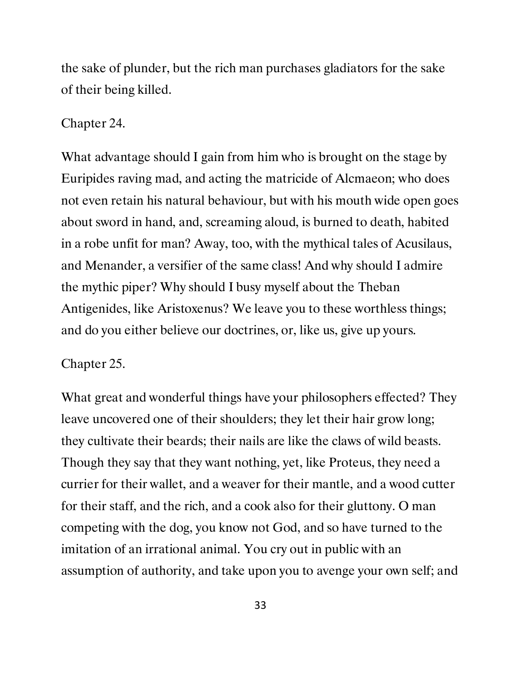the sake of plunder, but the rich man purchases gladiators for the sake of their being killed.

## Chapter 24.

What advantage should I gain from him who is brought on the stage by Euripides raving mad, and acting the matricide of Alcmaeon; who does not even retain his natural behaviour, but with his mouth wide open goes about sword in hand, and, screaming aloud, is burned to death, habited in a robe unfit for man? Away, too, with the mythical tales of Acusilaus, and Menander, a versifier of the same class! And why should I admire the mythic piper? Why should I busy myself about the Theban Antigenides, like Aristoxenus? We leave you to these worthless things; and do you either believe our doctrines, or, like us, give up yours.

## Chapter 25.

What great and wonderful things have your philosophers effected? They leave uncovered one of their shoulders; they let their hair grow long; they cultivate their beards; their nails are like the claws of wild beasts. Though they say that they want nothing, yet, like Proteus, they need a currier for their wallet, and a weaver for their mantle, and a wood cutter for their staff, and the rich, and a cook also for their gluttony. O man competing with the dog, you know not God, and so have turned to the imitation of an irrational animal. You cry out in public with an assumption of authority, and take upon you to avenge your own self; and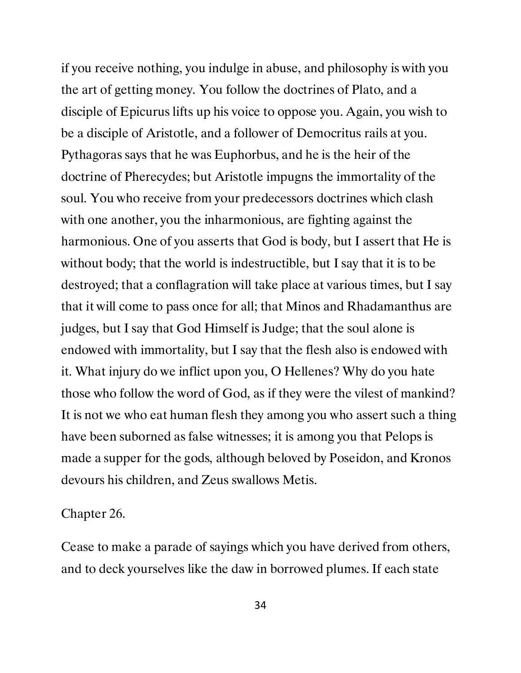if you receive nothing, you indulge in abuse, and philosophy is with you the art of getting money. You follow the doctrines of Plato, and a disciple of Epicurus lifts up his voice to oppose you. Again, you wish to be a disciple of Aristotle, and a follower of Democritus rails at you. Pythagoras says that he was Euphorbus, and he is the heir of the doctrine of Pherecydes; but Aristotle impugns the immortality of the soul. You who receive from your predecessors doctrines which clash with one another, you the inharmonious, are fighting against the harmonious. One of you asserts that God is body, but I assert that He is without body; that the world is indestructible, but I say that it is to be destroyed; that a conflagration will take place at various times, but I say that it will come to pass once for all; that Minos and Rhadamanthus are judges, but I say that God Himself is Judge; that the soul alone is endowed with immortality, but I say that the flesh also is endowed with it. What injury do we inflict upon you, O Hellenes? Why do you hate those who follow the word of God, as if they were the vilest of mankind? It is not we who eat human flesh they among you who assert such a thing have been suborned as false witnesses; it is among you that Pelops is made a supper for the gods, although beloved by Poseidon, and Kronos devours his children, and Zeus swallows Metis.

## Chapter 26.

Cease to make a parade of sayings which you have derived from others, and to deck yourselves like the daw in borrowed plumes. If each state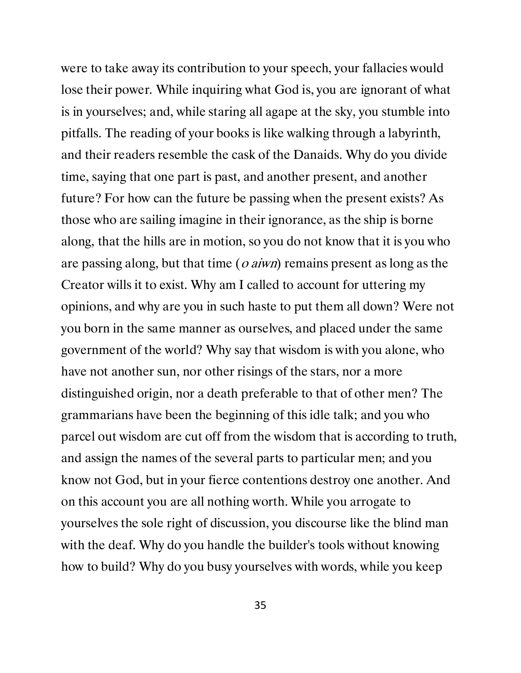were to take away its contribution to your speech, your fallacies would lose their power. While inquiring what God is, you are ignorant of what is in yourselves; and, while staring all agape at the sky, you stumble into pitfalls. The reading of your books is like walking through a labyrinth, and their readers resemble the cask of the Danaids. Why do you divide time, saying that one part is past, and another present, and another future? For how can the future be passing when the present exists? As those who are sailing imagine in their ignorance, as the ship is borne along, that the hills are in motion, so you do not know that it is you who are passing along, but that time ( $o$  *aiwn*) remains present as long as the Creator wills it to exist. Why am I called to account for uttering my opinions, and why are you in such haste to put them all down? Were not you born in the same manner as ourselves, and placed under the same government of the world? Why say that wisdom is with you alone, who have not another sun, nor other risings of the stars, nor a more distinguished origin, nor a death preferable to that of other men? The grammarians have been the beginning of this idle talk; and you who parcel out wisdom are cut off from the wisdom that is according to truth, and assign the names of the several parts to particular men; and you know not God, but in your fierce contentions destroy one another. And on this account you are all nothing worth. While you arrogate to yourselves the sole right of discussion, you discourse like the blind man with the deaf. Why do you handle the builder's tools without knowing how to build? Why do you busy yourselves with words, while you keep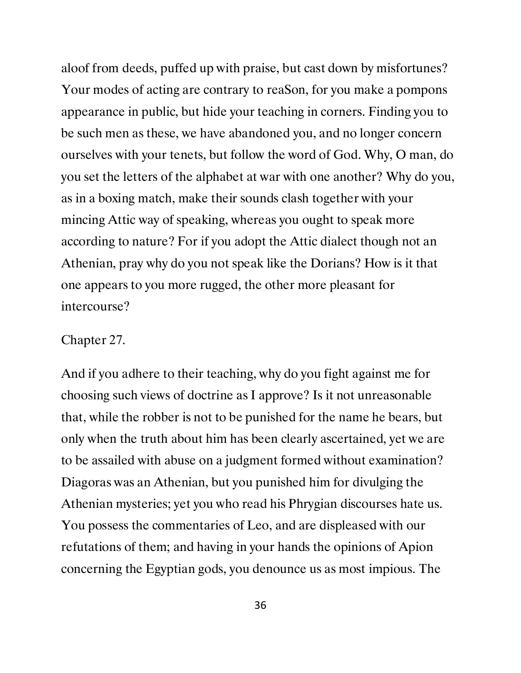aloof from deeds, puffed up with praise, but cast down by misfortunes? Your modes of acting are contrary to reaSon, for you make a pompons appearance in public, but hide your teaching in corners. Finding you to be such men as these, we have abandoned you, and no longer concern ourselves with your tenets, but follow the word of God. Why, O man, do you set the letters of the alphabet at war with one another? Why do you, as in a boxing match, make their sounds clash together with your mincing Attic way of speaking, whereas you ought to speak more according to nature? For if you adopt the Attic dialect though not an Athenian, pray why do you not speak like the Dorians? How is it that one appears to you more rugged, the other more pleasant for intercourse?

## Chapter 27.

And if you adhere to their teaching, why do you fight against me for choosing such views of doctrine as I approve? Is it not unreasonable that, while the robber is not to be punished for the name he bears, but only when the truth about him has been clearly ascertained, yet we are to be assailed with abuse on a judgment formed without examination? Diagoras was an Athenian, but you punished him for divulging the Athenian mysteries; yet you who read his Phrygian discourses hate us. You possess the commentaries of Leo, and are displeased with our refutations of them; and having in your hands the opinions of Apion concerning the Egyptian gods, you denounce us as most impious. The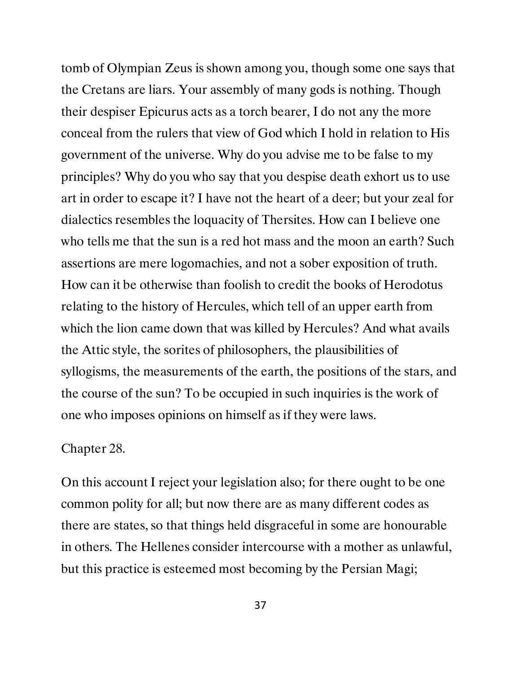tomb of Olympian Zeus is shown among you, though some one says that the Cretans are liars. Your assembly of many gods is nothing. Though their despiser Epicurus acts as a torch bearer, I do not any the more conceal from the rulers that view of God which I hold in relation to His government of the universe. Why do you advise me to be false to my principles? Why do you who say that you despise death exhort us to use art in order to escape it? I have not the heart of a deer; but your zeal for dialectics resembles the loquacity of Thersites. How can I believe one who tells me that the sun is a red hot mass and the moon an earth? Such assertions are mere logomachies, and not a sober exposition of truth. How can it be otherwise than foolish to credit the books of Herodotus relating to the history of Hercules, which tell of an upper earth from which the lion came down that was killed by Hercules? And what avails the Attic style, the sorites of philosophers, the plausibilities of syllogisms, the measurements of the earth, the positions of the stars, and the course of the sun? To be occupied in such inquiries is the work of one who imposes opinions on himself as if they were laws.

## Chapter 28.

On this account I reject your legislation also; for there ought to be one common polity for all; but now there are as many different codes as there are states, so that things held disgraceful in some are honourable in others. The Hellenes consider intercourse with a mother as unlawful, but this practice is esteemed most becoming by the Persian Magi;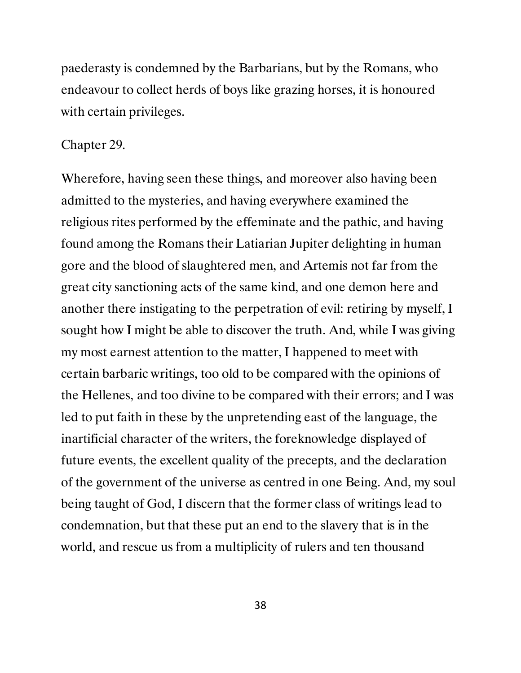paederasty is condemned by the Barbarians, but by the Romans, who endeavour to collect herds of boys like grazing horses, it is honoured with certain privileges.

#### Chapter 29.

Wherefore, having seen these things, and moreover also having been admitted to the mysteries, and having everywhere examined the religious rites performed by the effeminate and the pathic, and having found among the Romans their Latiarian Jupiter delighting in human gore and the blood of slaughtered men, and Artemis not far from the great city sanctioning acts of the same kind, and one demon here and another there instigating to the perpetration of evil: retiring by myself, I sought how I might be able to discover the truth. And, while I was giving my most earnest attention to the matter, I happened to meet with certain barbaric writings, too old to be compared with the opinions of the Hellenes, and too divine to be compared with their errors; and I was led to put faith in these by the unpretending east of the language, the inartificial character of the writers, the foreknowledge displayed of future events, the excellent quality of the precepts, and the declaration of the government of the universe as centred in one Being. And, my soul being taught of God, I discern that the former class of writings lead to condemnation, but that these put an end to the slavery that is in the world, and rescue us from a multiplicity of rulers and ten thousand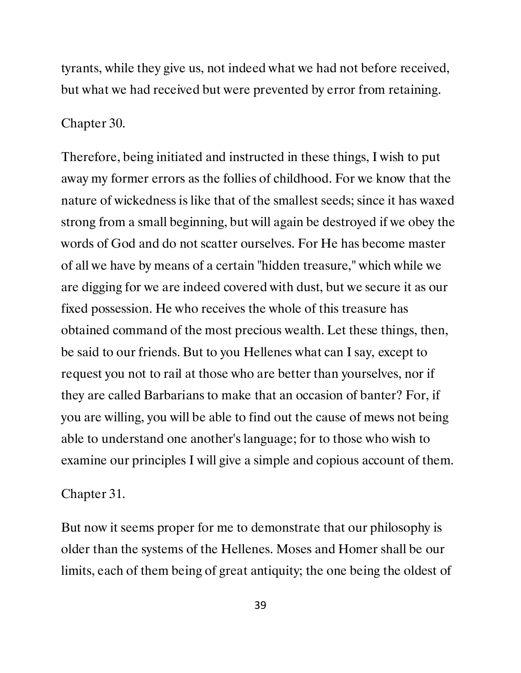tyrants, while they give us, not indeed what we had not before received, but what we had received but were prevented by error from retaining.

#### Chapter 30.

Therefore, being initiated and instructed in these things, I wish to put away my former errors as the follies of childhood. For we know that the nature of wickedness is like that of the smallest seeds; since it has waxed strong from a small beginning, but will again be destroyed if we obey the words of God and do not scatter ourselves. For He has become master of all we have by means of a certain "hidden treasure," which while we are digging for we are indeed covered with dust, but we secure it as our fixed possession. He who receives the whole of this treasure has obtained command of the most precious wealth. Let these things, then, be said to our friends. But to you Hellenes what can I say, except to request you not to rail at those who are better than yourselves, nor if they are called Barbarians to make that an occasion of banter? For, if you are willing, you will be able to find out the cause of mews not being able to understand one another's language; for to those who wish to examine our principles I will give a simple and copious account of them.

#### Chapter 31.

But now it seems proper for me to demonstrate that our philosophy is older than the systems of the Hellenes. Moses and Homer shall be our limits, each of them being of great antiquity; the one being the oldest of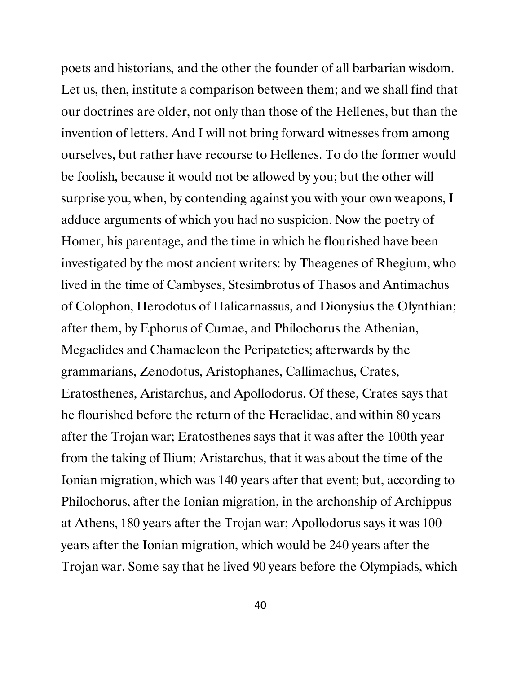poets and historians, and the other the founder of all barbarian wisdom. Let us, then, institute a comparison between them; and we shall find that our doctrines are older, not only than those of the Hellenes, but than the invention of letters. And I will not bring forward witnesses from among ourselves, but rather have recourse to Hellenes. To do the former would be foolish, because it would not be allowed by you; but the other will surprise you, when, by contending against you with your own weapons, I adduce arguments of which you had no suspicion. Now the poetry of Homer, his parentage, and the time in which he flourished have been investigated by the most ancient writers: by Theagenes of Rhegium, who lived in the time of Cambyses, Stesimbrotus of Thasos and Antimachus of Colophon, Herodotus of Halicarnassus, and Dionysius the Olynthian; after them, by Ephorus of Cumae, and Philochorus the Athenian, Megaclides and Chamaeleon the Peripatetics; afterwards by the grammarians, Zenodotus, Aristophanes, Callimachus, Crates, Eratosthenes, Aristarchus, and Apollodorus. Of these, Crates says that he flourished before the return of the Heraclidae, and within 80 years after the Trojan war; Eratosthenes says that it was after the 100th year from the taking of Ilium; Aristarchus, that it was about the time of the Ionian migration, which was 140 years after that event; but, according to Philochorus, after the Ionian migration, in the archonship of Archippus at Athens, 180 years after the Trojan war; Apollodorus says it was 100 years after the Ionian migration, which would be 240 years after the Trojan war. Some say that he lived 90 years before the Olympiads, which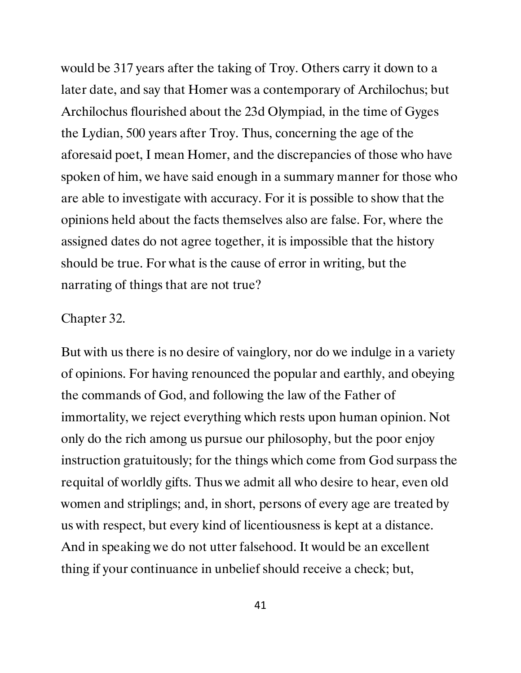would be 317 years after the taking of Troy. Others carry it down to a later date, and say that Homer was a contemporary of Archilochus; but Archilochus flourished about the 23d Olympiad, in the time of Gyges the Lydian, 500 years after Troy. Thus, concerning the age of the aforesaid poet, I mean Homer, and the discrepancies of those who have spoken of him, we have said enough in a summary manner for those who are able to investigate with accuracy. For it is possible to show that the opinions held about the facts themselves also are false. For, where the assigned dates do not agree together, it is impossible that the history should be true. For what is the cause of error in writing, but the narrating of things that are not true?

#### Chapter 32.

But with us there is no desire of vainglory, nor do we indulge in a variety of opinions. For having renounced the popular and earthly, and obeying the commands of God, and following the law of the Father of immortality, we reject everything which rests upon human opinion. Not only do the rich among us pursue our philosophy, but the poor enjoy instruction gratuitously; for the things which come from God surpass the requital of worldly gifts. Thus we admit all who desire to hear, even old women and striplings; and, in short, persons of every age are treated by us with respect, but every kind of licentiousness is kept at a distance. And in speaking we do not utter falsehood. It would be an excellent thing if your continuance in unbelief should receive a check; but,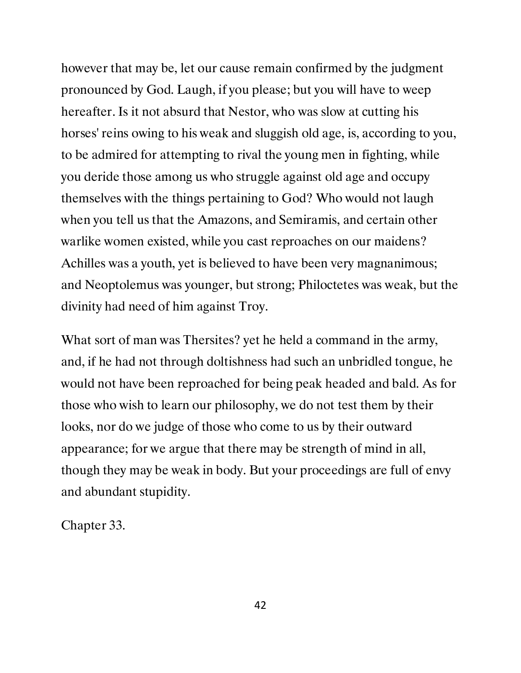however that may be, let our cause remain confirmed by the judgment pronounced by God. Laugh, if you please; but you will have to weep hereafter. Is it not absurd that Nestor, who was slow at cutting his horses' reins owing to his weak and sluggish old age, is, according to you, to be admired for attempting to rival the young men in fighting, while you deride those among us who struggle against old age and occupy themselves with the things pertaining to God? Who would not laugh when you tell us that the Amazons, and Semiramis, and certain other warlike women existed, while you cast reproaches on our maidens? Achilles was a youth, yet is believed to have been very magnanimous; and Neoptolemus was younger, but strong; Philoctetes was weak, but the divinity had need of him against Troy.

What sort of man was Thersites? yet he held a command in the army, and, if he had not through doltishness had such an unbridled tongue, he would not have been reproached for being peak headed and bald. As for those who wish to learn our philosophy, we do not test them by their looks, nor do we judge of those who come to us by their outward appearance; for we argue that there may be strength of mind in all, though they may be weak in body. But your proceedings are full of envy and abundant stupidity.

Chapter 33.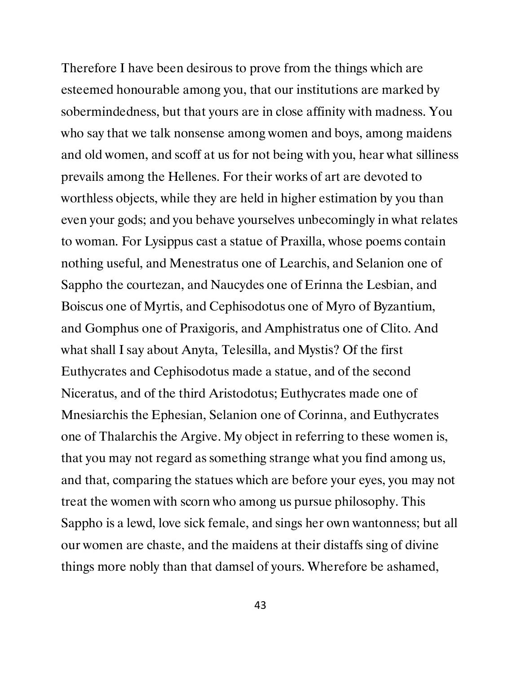Therefore I have been desirous to prove from the things which are esteemed honourable among you, that our institutions are marked by sobermindedness, but that yours are in close affinity with madness. You who say that we talk nonsense among women and boys, among maidens and old women, and scoff at us for not being with you, hear what silliness prevails among the Hellenes. For their works of art are devoted to worthless objects, while they are held in higher estimation by you than even your gods; and you behave yourselves unbecomingly in what relates to woman. For Lysippus cast a statue of Praxilla, whose poems contain nothing useful, and Menestratus one of Learchis, and Selanion one of Sappho the courtezan, and Naucydes one of Erinna the Lesbian, and Boiscus one of Myrtis, and Cephisodotus one of Myro of Byzantium, and Gomphus one of Praxigoris, and Amphistratus one of Clito. And what shall I say about Anyta, Telesilla, and Mystis? Of the first Euthycrates and Cephisodotus made a statue, and of the second Niceratus, and of the third Aristodotus; Euthycrates made one of Mnesiarchis the Ephesian, Selanion one of Corinna, and Euthycrates one of Thalarchis the Argive. My object in referring to these women is, that you may not regard as something strange what you find among us, and that, comparing the statues which are before your eyes, you may not treat the women with scorn who among us pursue philosophy. This Sappho is a lewd, love sick female, and sings her own wantonness; but all our women are chaste, and the maidens at their distaffs sing of divine things more nobly than that damsel of yours. Wherefore be ashamed,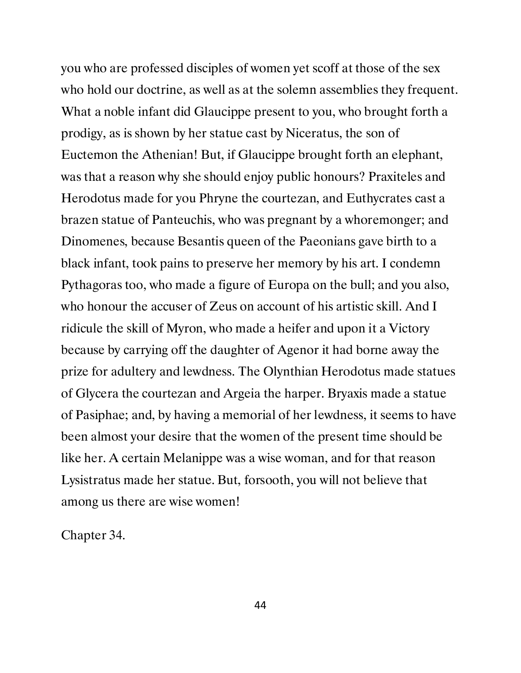you who are professed disciples of women yet scoff at those of the sex who hold our doctrine, as well as at the solemn assemblies they frequent. What a noble infant did Glaucippe present to you, who brought forth a prodigy, as is shown by her statue cast by Niceratus, the son of Euctemon the Athenian! But, if Glaucippe brought forth an elephant, was that a reason why she should enjoy public honours? Praxiteles and Herodotus made for you Phryne the courtezan, and Euthycrates cast a brazen statue of Panteuchis, who was pregnant by a whoremonger; and Dinomenes, because Besantis queen of the Paeonians gave birth to a black infant, took pains to preserve her memory by his art. I condemn Pythagoras too, who made a figure of Europa on the bull; and you also, who honour the accuser of Zeus on account of his artistic skill. And I ridicule the skill of Myron, who made a heifer and upon it a Victory because by carrying off the daughter of Agenor it had borne away the prize for adultery and lewdness. The Olynthian Herodotus made statues of Glycera the courtezan and Argeia the harper. Bryaxis made a statue of Pasiphae; and, by having a memorial of her lewdness, it seems to have been almost your desire that the women of the present time should be like her. A certain Melanippe was a wise woman, and for that reason Lysistratus made her statue. But, forsooth, you will not believe that among us there are wise women!

Chapter 34.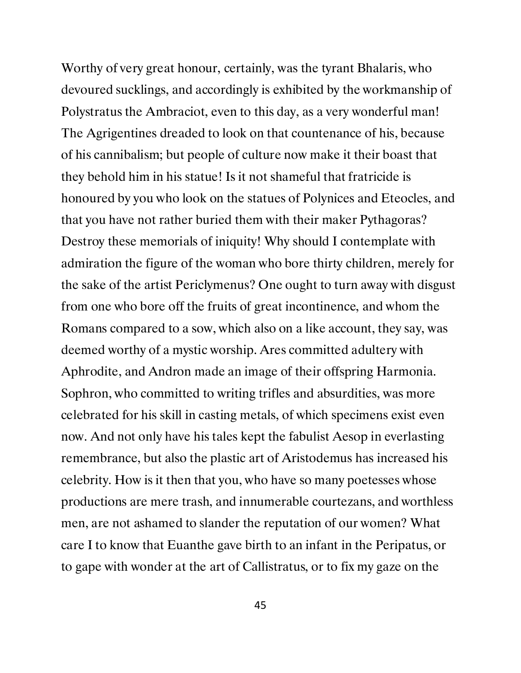Worthy of very great honour, certainly, was the tyrant Bhalaris, who devoured sucklings, and accordingly is exhibited by the workmanship of Polystratus the Ambraciot, even to this day, as a very wonderful man! The Agrigentines dreaded to look on that countenance of his, because of his cannibalism; but people of culture now make it their boast that they behold him in his statue! Is it not shameful that fratricide is honoured by you who look on the statues of Polynices and Eteocles, and that you have not rather buried them with their maker Pythagoras? Destroy these memorials of iniquity! Why should I contemplate with admiration the figure of the woman who bore thirty children, merely for the sake of the artist Periclymenus? One ought to turn away with disgust from one who bore off the fruits of great incontinence, and whom the Romans compared to a sow, which also on a like account, they say, was deemed worthy of a mystic worship. Ares committed adultery with Aphrodite, and Andron made an image of their offspring Harmonia. Sophron, who committed to writing trifles and absurdities, was more celebrated for his skill in casting metals, of which specimens exist even now. And not only have his tales kept the fabulist Aesop in everlasting remembrance, but also the plastic art of Aristodemus has increased his celebrity. How is it then that you, who have so many poetesses whose productions are mere trash, and innumerable courtezans, and worthless men, are not ashamed to slander the reputation of our women? What care I to know that Euanthe gave birth to an infant in the Peripatus, or to gape with wonder at the art of Callistratus, or to fix my gaze on the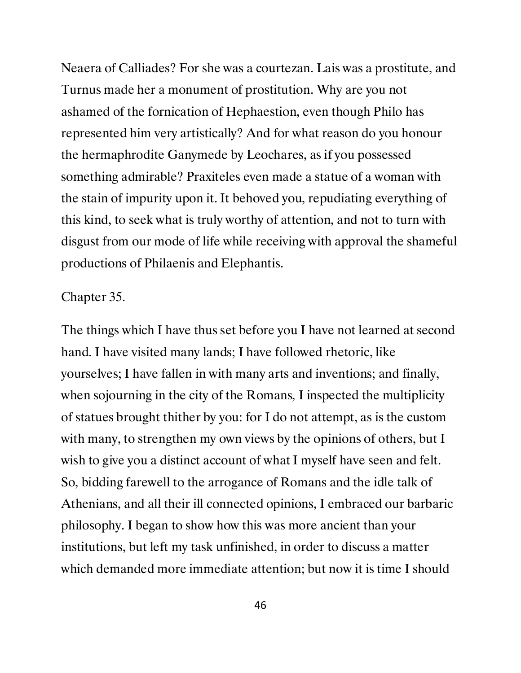Neaera of Calliades? For she was a courtezan. Lais was a prostitute, and Turnus made her a monument of prostitution. Why are you not ashamed of the fornication of Hephaestion, even though Philo has represented him very artistically? And for what reason do you honour the hermaphrodite Ganymede by Leochares, as if you possessed something admirable? Praxiteles even made a statue of a woman with the stain of impurity upon it. It behoved you, repudiating everything of this kind, to seek what is truly worthy of attention, and not to turn with disgust from our mode of life while receiving with approval the shameful productions of Philaenis and Elephantis.

## Chapter 35.

The things which I have thus set before you I have not learned at second hand. I have visited many lands; I have followed rhetoric, like yourselves; I have fallen in with many arts and inventions; and finally, when sojourning in the city of the Romans, I inspected the multiplicity of statues brought thither by you: for I do not attempt, as is the custom with many, to strengthen my own views by the opinions of others, but I wish to give you a distinct account of what I myself have seen and felt. So, bidding farewell to the arrogance of Romans and the idle talk of Athenians, and all their ill connected opinions, I embraced our barbaric philosophy. I began to show how this was more ancient than your institutions, but left my task unfinished, in order to discuss a matter which demanded more immediate attention; but now it is time I should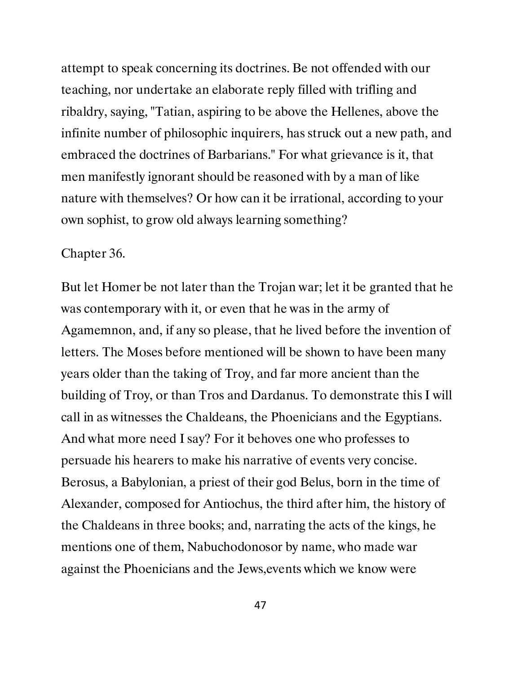attempt to speak concerning its doctrines. Be not offended with our teaching, nor undertake an elaborate reply filled with trifling and ribaldry, saying, "Tatian, aspiring to be above the Hellenes, above the infinite number of philosophic inquirers, has struck out a new path, and embraced the doctrines of Barbarians." For what grievance is it, that men manifestly ignorant should be reasoned with by a man of like nature with themselves? Or how can it be irrational, according to your own sophist, to grow old always learning something?

#### Chapter 36.

But let Homer be not later than the Trojan war; let it be granted that he was contemporary with it, or even that he was in the army of Agamemnon, and, if any so please, that he lived before the invention of letters. The Moses before mentioned will be shown to have been many years older than the taking of Troy, and far more ancient than the building of Troy, or than Tros and Dardanus. To demonstrate this I will call in as witnesses the Chaldeans, the Phoenicians and the Egyptians. And what more need I say? For it behoves one who professes to persuade his hearers to make his narrative of events very concise. Berosus, a Babylonian, a priest of their god Belus, born in the time of Alexander, composed for Antiochus, the third after him, the history of the Chaldeans in three books; and, narrating the acts of the kings, he mentions one of them, Nabuchodonosor by name, who made war against the Phoenicians and the Jews,events which we know were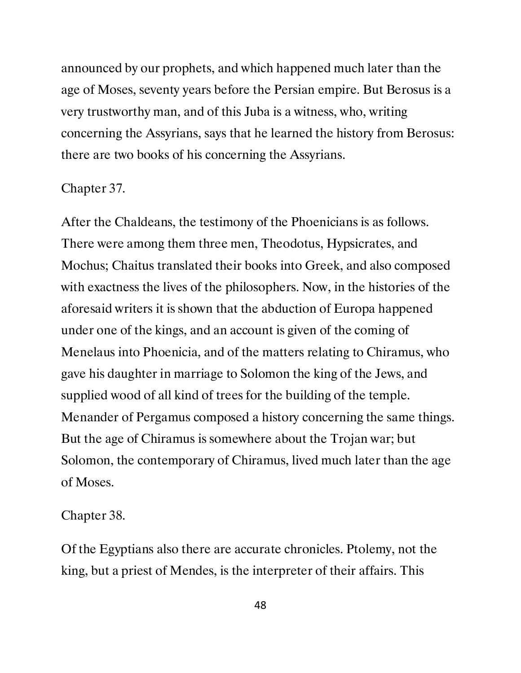announced by our prophets, and which happened much later than the age of Moses, seventy years before the Persian empire. But Berosus is a very trustworthy man, and of this Juba is a witness, who, writing concerning the Assyrians, says that he learned the history from Berosus: there are two books of his concerning the Assyrians.

#### Chapter 37.

After the Chaldeans, the testimony of the Phoenicians is as follows. There were among them three men, Theodotus, Hypsicrates, and Mochus; Chaitus translated their books into Greek, and also composed with exactness the lives of the philosophers. Now, in the histories of the aforesaid writers it is shown that the abduction of Europa happened under one of the kings, and an account is given of the coming of Menelaus into Phoenicia, and of the matters relating to Chiramus, who gave his daughter in marriage to Solomon the king of the Jews, and supplied wood of all kind of trees for the building of the temple. Menander of Pergamus composed a history concerning the same things. But the age of Chiramus is somewhere about the Trojan war; but Solomon, the contemporary of Chiramus, lived much later than the age of Moses.

#### Chapter 38.

Of the Egyptians also there are accurate chronicles. Ptolemy, not the king, but a priest of Mendes, is the interpreter of their affairs. This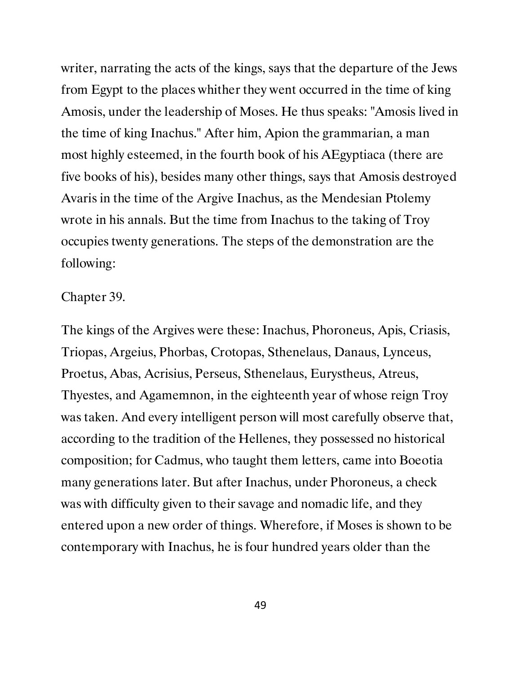writer, narrating the acts of the kings, says that the departure of the Jews from Egypt to the places whither they went occurred in the time of king Amosis, under the leadership of Moses. He thus speaks: "Amosis lived in the time of king Inachus." After him, Apion the grammarian, a man most highly esteemed, in the fourth book of his AEgyptiaca (there are five books of his), besides many other things, says that Amosis destroyed Avaris in the time of the Argive Inachus, as the Mendesian Ptolemy wrote in his annals. But the time from Inachus to the taking of Troy occupies twenty generations. The steps of the demonstration are the following:

## Chapter 39.

The kings of the Argives were these: Inachus, Phoroneus, Apis, Criasis, Triopas, Argeius, Phorbas, Crotopas, Sthenelaus, Danaus, Lynceus, Proetus, Abas, Acrisius, Perseus, Sthenelaus, Eurystheus, Atreus, Thyestes, and Agamemnon, in the eighteenth year of whose reign Troy was taken. And every intelligent person will most carefully observe that, according to the tradition of the Hellenes, they possessed no historical composition; for Cadmus, who taught them letters, came into Boeotia many generations later. But after Inachus, under Phoroneus, a check was with difficulty given to their savage and nomadic life, and they entered upon a new order of things. Wherefore, if Moses is shown to be contemporary with Inachus, he is four hundred years older than the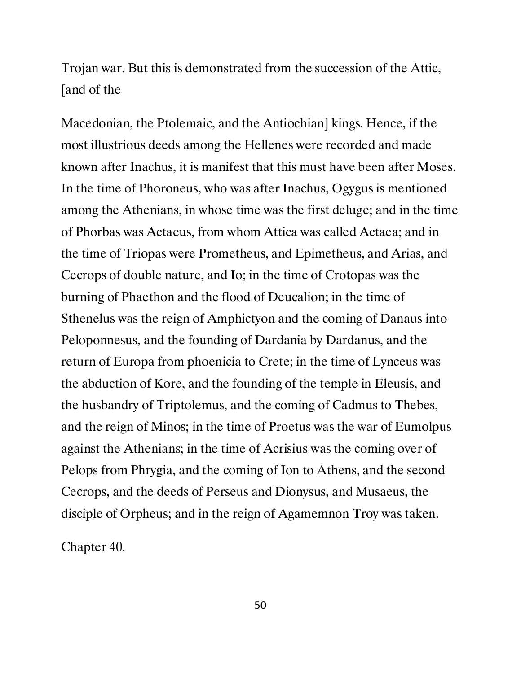Trojan war. But this is demonstrated from the succession of the Attic, [and of the

Macedonian, the Ptolemaic, and the Antiochian] kings. Hence, if the most illustrious deeds among the Hellenes were recorded and made known after Inachus, it is manifest that this must have been after Moses. In the time of Phoroneus, who was after Inachus, Ogygus is mentioned among the Athenians, in whose time was the first deluge; and in the time of Phorbas was Actaeus, from whom Attica was called Actaea; and in the time of Triopas were Prometheus, and Epimetheus, and Arias, and Cecrops of double nature, and Io; in the time of Crotopas was the burning of Phaethon and the flood of Deucalion; in the time of Sthenelus was the reign of Amphictyon and the coming of Danaus into Peloponnesus, and the founding of Dardania by Dardanus, and the return of Europa from phoenicia to Crete; in the time of Lynceus was the abduction of Kore, and the founding of the temple in Eleusis, and the husbandry of Triptolemus, and the coming of Cadmus to Thebes, and the reign of Minos; in the time of Proetus was the war of Eumolpus against the Athenians; in the time of Acrisius was the coming over of Pelops from Phrygia, and the coming of Ion to Athens, and the second Cecrops, and the deeds of Perseus and Dionysus, and Musaeus, the disciple of Orpheus; and in the reign of Agamemnon Troy was taken.

Chapter 40.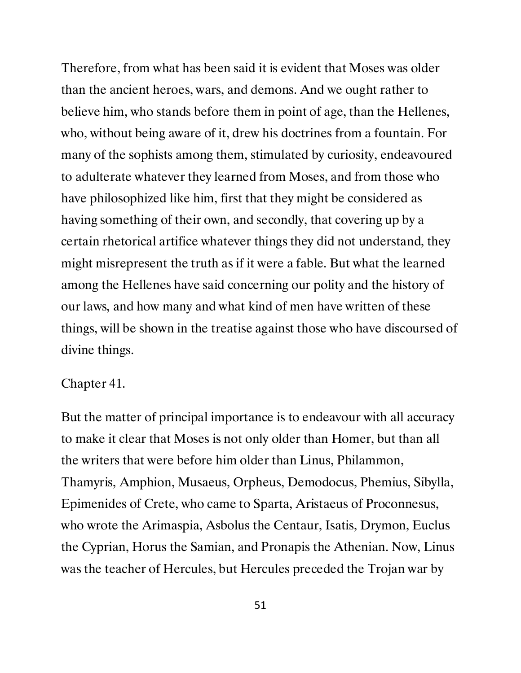Therefore, from what has been said it is evident that Moses was older than the ancient heroes, wars, and demons. And we ought rather to believe him, who stands before them in point of age, than the Hellenes, who, without being aware of it, drew his doctrines from a fountain. For many of the sophists among them, stimulated by curiosity, endeavoured to adulterate whatever they learned from Moses, and from those who have philosophized like him, first that they might be considered as having something of their own, and secondly, that covering up by a certain rhetorical artifice whatever things they did not understand, they might misrepresent the truth as if it were a fable. But what the learned among the Hellenes have said concerning our polity and the history of our laws, and how many and what kind of men have written of these things, will be shown in the treatise against those who have discoursed of divine things.

#### Chapter 41.

But the matter of principal importance is to endeavour with all accuracy to make it clear that Moses is not only older than Homer, but than all the writers that were before him older than Linus, Philammon, Thamyris, Amphion, Musaeus, Orpheus, Demodocus, Phemius, Sibylla, Epimenides of Crete, who came to Sparta, Aristaeus of Proconnesus, who wrote the Arimaspia, Asbolus the Centaur, Isatis, Drymon, Euclus the Cyprian, Horus the Samian, and Pronapis the Athenian. Now, Linus was the teacher of Hercules, but Hercules preceded the Trojan war by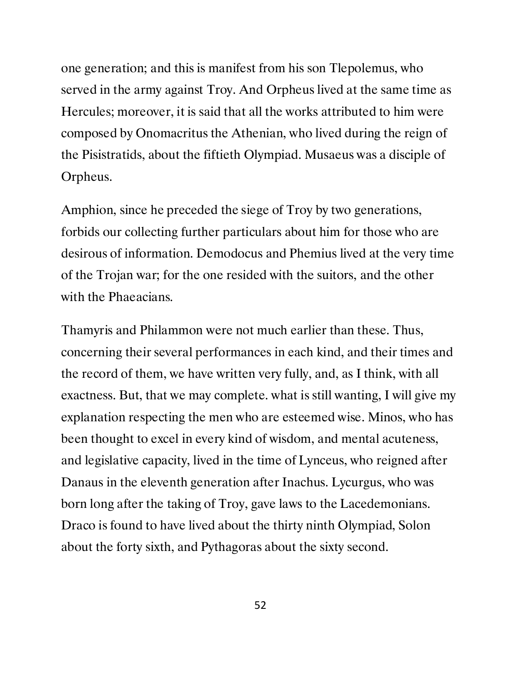one generation; and this is manifest from his son Tlepolemus, who served in the army against Troy. And Orpheus lived at the same time as Hercules; moreover, it is said that all the works attributed to him were composed by Onomacritus the Athenian, who lived during the reign of the Pisistratids, about the fiftieth Olympiad. Musaeus was a disciple of Orpheus.

Amphion, since he preceded the siege of Troy by two generations, forbids our collecting further particulars about him for those who are desirous of information. Demodocus and Phemius lived at the very time of the Trojan war; for the one resided with the suitors, and the other with the Phaeacians.

Thamyris and Philammon were not much earlier than these. Thus, concerning their several performances in each kind, and their times and the record of them, we have written very fully, and, as I think, with all exactness. But, that we may complete. what is still wanting, I will give my explanation respecting the men who are esteemed wise. Minos, who has been thought to excel in every kind of wisdom, and mental acuteness, and legislative capacity, lived in the time of Lynceus, who reigned after Danaus in the eleventh generation after Inachus. Lycurgus, who was born long after the taking of Troy, gave laws to the Lacedemonians. Draco is found to have lived about the thirty ninth Olympiad, Solon about the forty sixth, and Pythagoras about the sixty second.

52